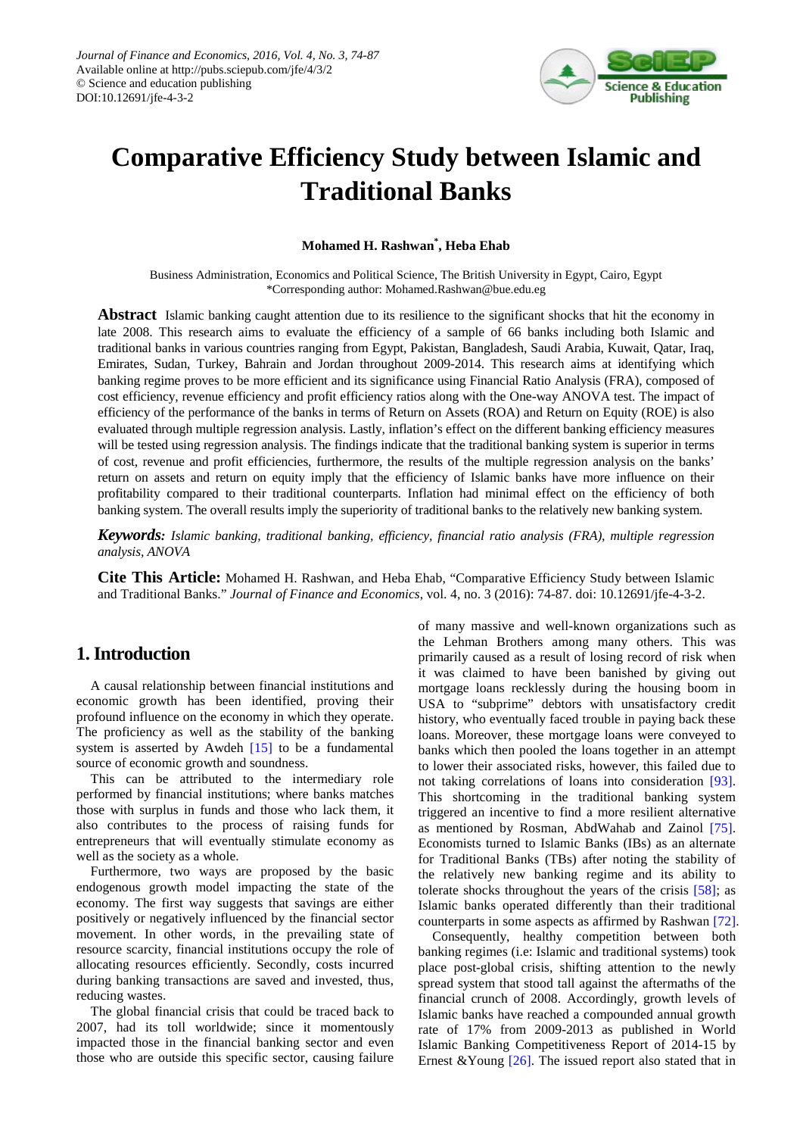

# **Comparative Efficiency Study between Islamic and Traditional Banks**

## **Mohamed H. Rashwan\* , Heba Ehab**

Business Administration, Economics and Political Science, The British University in Egypt, Cairo, Egypt \*Corresponding author: Mohamed.Rashwan@bue.edu.eg

**Abstract** Islamic banking caught attention due to its resilience to the significant shocks that hit the economy in late 2008. This research aims to evaluate the efficiency of a sample of 66 banks including both Islamic and traditional banks in various countries ranging from Egypt, Pakistan, Bangladesh, Saudi Arabia, Kuwait, Qatar, Iraq, Emirates, Sudan, Turkey, Bahrain and Jordan throughout 2009-2014. This research aims at identifying which banking regime proves to be more efficient and its significance using Financial Ratio Analysis (FRA), composed of cost efficiency, revenue efficiency and profit efficiency ratios along with the One-way ANOVA test. The impact of efficiency of the performance of the banks in terms of Return on Assets (ROA) and Return on Equity (ROE) is also evaluated through multiple regression analysis. Lastly, inflation's effect on the different banking efficiency measures will be tested using regression analysis. The findings indicate that the traditional banking system is superior in terms of cost, revenue and profit efficiencies, furthermore, the results of the multiple regression analysis on the banks' return on assets and return on equity imply that the efficiency of Islamic banks have more influence on their profitability compared to their traditional counterparts. Inflation had minimal effect on the efficiency of both banking system. The overall results imply the superiority of traditional banks to the relatively new banking system.

*Keywords: Islamic banking, traditional banking, efficiency, financial ratio analysis (FRA), multiple regression analysis, ANOVA*

**Cite This Article:** Mohamed H. Rashwan, and Heba Ehab, "Comparative Efficiency Study between Islamic and Traditional Banks." *Journal of Finance and Economics*, vol. 4, no. 3 (2016): 74-87. doi: 10.12691/jfe-4-3-2.

# **1. Introduction**

A causal relationship between financial institutions and economic growth has been identified, proving their profound influence on the economy in which they operate. The proficiency as well as the stability of the banking system is asserted by Awdeh [\[15\]](#page-11-0) to be a fundamental source of economic growth and soundness.

This can be attributed to the intermediary role performed by financial institutions; where banks matches those with surplus in funds and those who lack them, it also contributes to the process of raising funds for entrepreneurs that will eventually stimulate economy as well as the society as a whole.

Furthermore, two ways are proposed by the basic endogenous growth model impacting the state of the economy. The first way suggests that savings are either positively or negatively influenced by the financial sector movement. In other words, in the prevailing state of resource scarcity, financial institutions occupy the role of allocating resources efficiently. Secondly, costs incurred during banking transactions are saved and invested, thus, reducing wastes.

The global financial crisis that could be traced back to 2007, had its toll worldwide; since it momentously impacted those in the financial banking sector and even those who are outside this specific sector, causing failure

of many massive and well-known organizations such as the Lehman Brothers among many others. This was primarily caused as a result of losing record of risk when it was claimed to have been banished by giving out mortgage loans recklessly during the housing boom in USA to "subprime" debtors with unsatisfactory credit history, who eventually faced trouble in paying back these loans. Moreover, these mortgage loans were conveyed to banks which then pooled the loans together in an attempt to lower their associated risks, however, this failed due to not taking correlations of loans into consideration [\[93\].](#page-13-0) This shortcoming in the traditional banking system triggered an incentive to find a more resilient alternative as mentioned by Rosman, AbdWahab and Zainol [\[75\].](#page-12-0) Economists turned to Islamic Banks (IBs) as an alternate for Traditional Banks (TBs) after noting the stability of the relatively new banking regime and its ability to tolerate shocks throughout the years of the crisis [\[58\];](#page-12-1) as Islamic banks operated differently than their traditional counterparts in some aspects as affirmed by Rashwan [\[72\].](#page-12-2)

Consequently, healthy competition between both banking regimes (i.e: Islamic and traditional systems) took place post-global crisis, shifting attention to the newly spread system that stood tall against the aftermaths of the financial crunch of 2008. Accordingly, growth levels of Islamic banks have reached a compounded annual growth rate of 17% from 2009-2013 as published in World Islamic Banking Competitiveness Report of 2014-15 by Ernest & Young  $[26]$ . The issued report also stated that in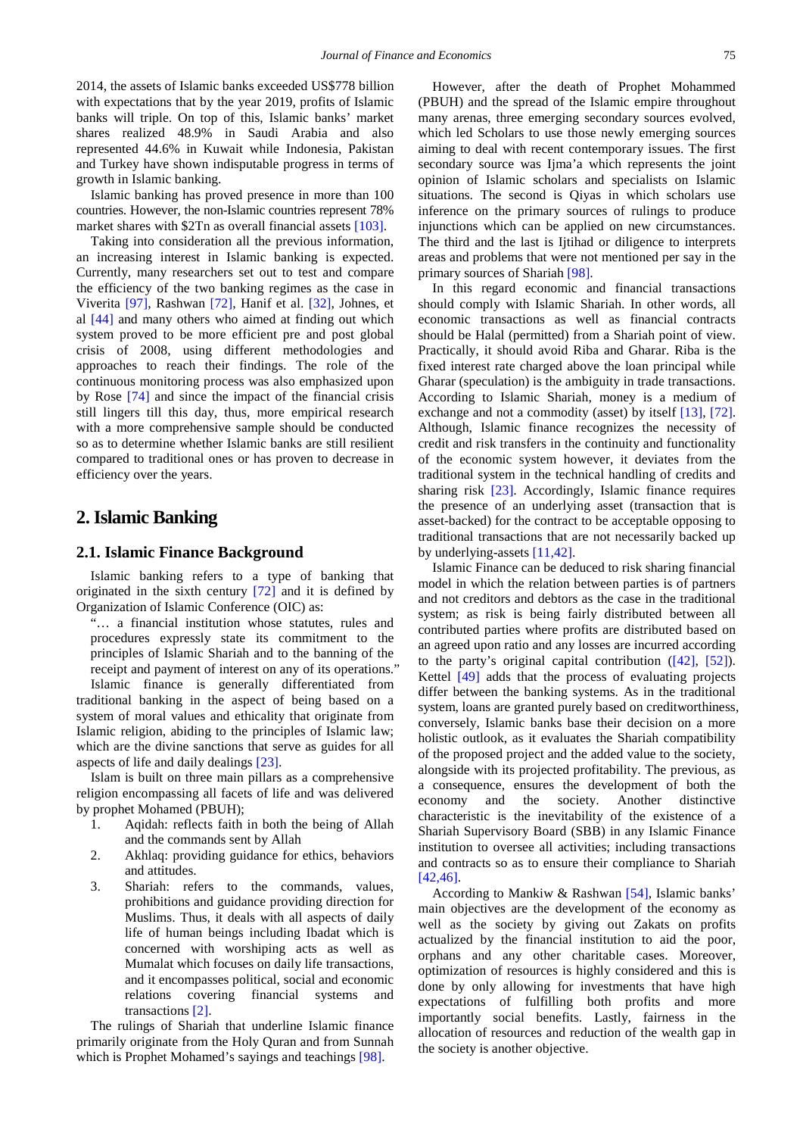2014, the assets of Islamic banks exceeded US\$778 billion with expectations that by the year 2019, profits of Islamic banks will triple. On top of this, Islamic banks' market shares realized 48.9% in Saudi Arabia and also represented 44.6% in Kuwait while Indonesia, Pakistan and Turkey have shown indisputable progress in terms of growth in Islamic banking.

Islamic banking has proved presence in more than 100 countries. However, the non-Islamic countries represent 78% market shares with \$2Tn as overall financial asset[s \[103\].](#page-13-1)

Taking into consideration all the previous information, an increasing interest in Islamic banking is expected. Currently, many researchers set out to test and compare the efficiency of the two banking regimes as the case in Viverita [\[97\],](#page-13-2) Rashwan [\[72\],](#page-12-2) Hanif et al. [\[32\],](#page-12-3) Johnes, et al [\[44\]](#page-12-4) and many others who aimed at finding out which system proved to be more efficient pre and post global crisis of 2008, using different methodologies and approaches to reach their findings. The role of the continuous monitoring process was also emphasized upon by Rose [\[74\]](#page-12-5) and since the impact of the financial crisis still lingers till this day, thus, more empirical research with a more comprehensive sample should be conducted so as to determine whether Islamic banks are still resilient compared to traditional ones or has proven to decrease in efficiency over the years.

# **2. Islamic Banking**

## **2.1. Islamic Finance Background**

Islamic banking refers to a type of banking that originated in the sixth century [\[72\]](#page-12-2) and it is defined by Organization of Islamic Conference (OIC) as:

"… a financial institution whose statutes, rules and procedures expressly state its commitment to the principles of Islamic Shariah and to the banning of the receipt and payment of interest on any of its operations." Islamic finance is generally differentiated from

traditional banking in the aspect of being based on a system of moral values and ethicality that originate from Islamic religion, abiding to the principles of Islamic law; which are the divine sanctions that serve as guides for all aspects of life and daily dealings [\[23\].](#page-11-2)

Islam is built on three main pillars as a comprehensive religion encompassing all facets of life and was delivered by prophet Mohamed (PBUH);

- 1. Aqidah: reflects faith in both the being of Allah and the commands sent by Allah
- 2. Akhlaq: providing guidance for ethics, behaviors and attitudes.
- 3. Shariah: refers to the commands, values, prohibitions and guidance providing direction for Muslims. Thus, it deals with all aspects of daily life of human beings including Ibadat which is concerned with worshiping acts as well as Mumalat which focuses on daily life transactions, and it encompasses political, social and economic relations covering financial systems and transactions [\[2\].](#page-11-3)

The rulings of Shariah that underline Islamic finance primarily originate from the Holy Quran and from Sunnah which is Prophet Mohamed's sayings and teachings [\[98\].](#page-13-3)

However, after the death of Prophet Mohammed (PBUH) and the spread of the Islamic empire throughout many arenas, three emerging secondary sources evolved, which led Scholars to use those newly emerging sources aiming to deal with recent contemporary issues. The first secondary source was Ijma'a which represents the joint opinion of Islamic scholars and specialists on Islamic situations. The second is Qiyas in which scholars use inference on the primary sources of rulings to produce injunctions which can be applied on new circumstances. The third and the last is Ijtihad or diligence to interprets areas and problems that were not mentioned per say in the primary sources of Sharia[h \[98\].](#page-13-3)

In this regard economic and financial transactions should comply with Islamic Shariah. In other words, all economic transactions as well as financial contracts should be Halal (permitted) from a Shariah point of view. Practically, it should avoid Riba and Gharar. Riba is the fixed interest rate charged above the loan principal while Gharar (speculation) is the ambiguity in trade transactions. According to Islamic Shariah, money is a medium of exchange and not a commodity (asset) by itself [\[13\],](#page-11-4) [\[72\].](#page-12-2) Although, Islamic finance recognizes the necessity of credit and risk transfers in the continuity and functionality of the economic system however, it deviates from the traditional system in the technical handling of credits and sharing risk [\[23\].](#page-11-2) Accordingly, Islamic finance requires the presence of an underlying asset (transaction that is asset-backed) for the contract to be acceptable opposing to traditional transactions that are not necessarily backed up by underlying-assets [\[11,42\].](#page-11-5)

Islamic Finance can be deduced to risk sharing financial model in which the relation between parties is of partners and not creditors and debtors as the case in the traditional system; as risk is being fairly distributed between all contributed parties where profits are distributed based on an agreed upon ratio and any losses are incurred according to the party's original capital contribution [\(\[42\],](#page-12-6) [\[52\]\)](#page-12-7). Kettel [\[49\]](#page-12-8) adds that the process of evaluating projects differ between the banking systems. As in the traditional system, loans are granted purely based on creditworthiness, conversely, Islamic banks base their decision on a more holistic outlook, as it evaluates the Shariah compatibility of the proposed project and the added value to the society, alongside with its projected profitability. The previous, as a consequence, ensures the development of both the economy and the society. Another distinctive characteristic is the inevitability of the existence of a Shariah Supervisory Board (SBB) in any Islamic Finance institution to oversee all activities; including transactions and contracts so as to ensure their compliance to Shariah [\[42,46\].](#page-12-6)

According to Mankiw & Rashwan [\[54\],](#page-12-9) Islamic banks' main objectives are the development of the economy as well as the society by giving out Zakats on profits actualized by the financial institution to aid the poor, orphans and any other charitable cases. Moreover, optimization of resources is highly considered and this is done by only allowing for investments that have high expectations of fulfilling both profits and more importantly social benefits. Lastly, fairness in the allocation of resources and reduction of the wealth gap in the society is another objective.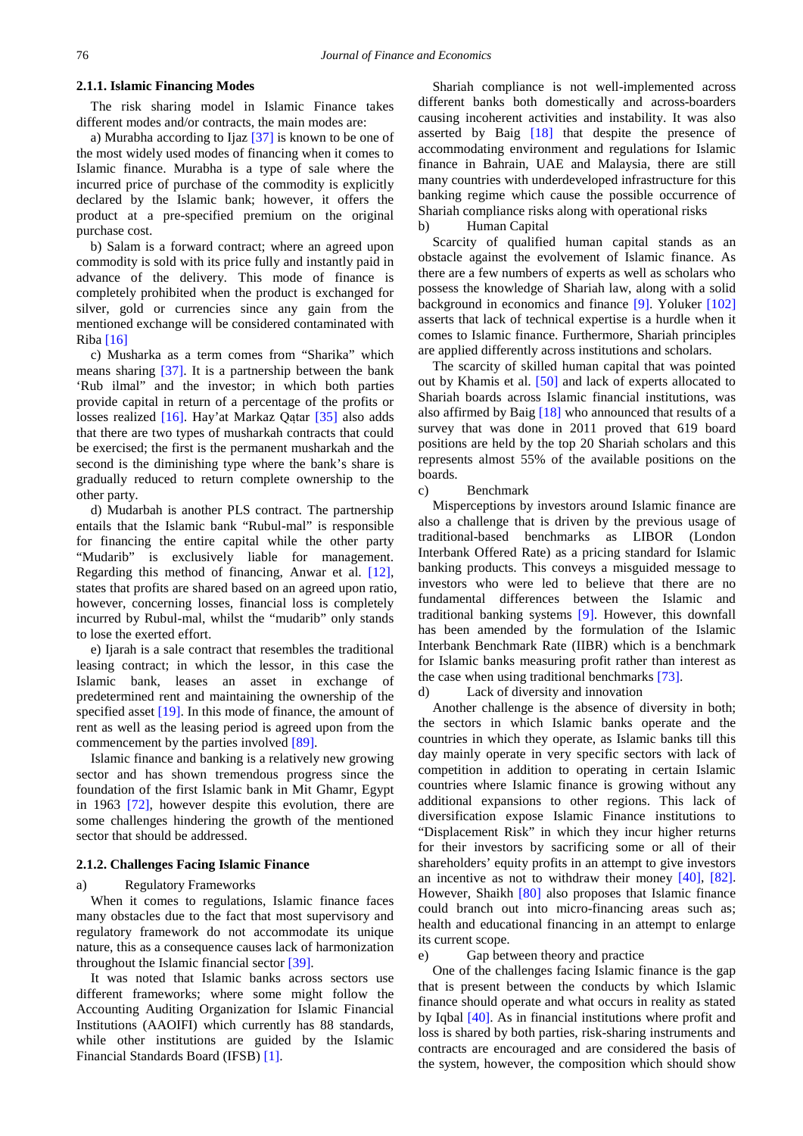## **2.1.1. Islamic Financing Modes**

The risk sharing model in Islamic Finance takes different modes and/or contracts, the main modes are:

a) Murabha according to Ijaz [\[37\]](#page-12-10) is known to be one of the most widely used modes of financing when it comes to Islamic finance. Murabha is a type of sale where the incurred price of purchase of the commodity is explicitly declared by the Islamic bank; however, it offers the product at a pre-specified premium on the original purchase cost.

b) Salam is a forward contract; where an agreed upon commodity is sold with its price fully and instantly paid in advance of the delivery. This mode of finance is completely prohibited when the product is exchanged for silver, gold or currencies since any gain from the mentioned exchange will be considered contaminated with Riba  $[16]$ 

c) Musharka as a term comes from "Sharika" which means sharing [\[37\].](#page-12-10) It is a partnership between the bank 'Rub ilmal" and the investor; in which both parties provide capital in return of a percentage of the profits or losses realized [\[16\].](#page-11-6) Hay'at Markaz Qaṭar [\[35\]](#page-12-11) also adds that there are two types of musharkah contracts that could be exercised; the first is the permanent musharkah and the second is the diminishing type where the bank's share is gradually reduced to return complete ownership to the other party.

d) Mudarbah is another PLS contract. The partnership entails that the Islamic bank "Rubul-mal" is responsible for financing the entire capital while the other party "Mudarib" is exclusively liable for management. Regarding this method of financing, Anwar et al. [\[12\],](#page-11-7) states that profits are shared based on an agreed upon ratio, however, concerning losses, financial loss is completely incurred by Rubul-mal, whilst the "mudarib" only stands to lose the exerted effort.

e) Ijarah is a sale contract that resembles the traditional leasing contract; in which the lessor, in this case the Islamic bank, leases an asset in exchange of predetermined rent and maintaining the ownership of the specified asset [\[19\].](#page-11-8) In this mode of finance, the amount of rent as well as the leasing period is agreed upon from the commencement by the parties involved [\[89\].](#page-13-4)

Islamic finance and banking is a relatively new growing sector and has shown tremendous progress since the foundation of the first Islamic bank in Mit Ghamr, Egypt in 1963 [\[72\],](#page-12-2) however despite this evolution, there are some challenges hindering the growth of the mentioned sector that should be addressed.

#### **2.1.2. Challenges Facing Islamic Finance**

#### a) Regulatory Frameworks

When it comes to regulations, Islamic finance faces many obstacles due to the fact that most supervisory and regulatory framework do not accommodate its unique nature, this as a consequence causes lack of harmonization throughout the Islamic financial secto[r \[39\].](#page-12-12) 

It was noted that Islamic banks across sectors use different frameworks; where some might follow the Accounting Auditing Organization for Islamic Financial Institutions (AAOIFI) which currently has 88 standards, while other institutions are guided by the Islamic Financial Standards Board (IFSB[\) \[1\].](#page-11-9)

Shariah compliance is not well-implemented across different banks both domestically and across-boarders causing incoherent activities and instability. It was also asserted by Baig [\[18\]](#page-11-10) that despite the presence of accommodating environment and regulations for Islamic finance in Bahrain, UAE and Malaysia, there are still many countries with underdeveloped infrastructure for this banking regime which cause the possible occurrence of Shariah compliance risks along with operational risks

b) Human Capital

Scarcity of qualified human capital stands as an obstacle against the evolvement of Islamic finance. As there are a few numbers of experts as well as scholars who possess the knowledge of Shariah law, along with a solid background in economics and finance [\[9\].](#page-11-11) Yoluker [\[102\]](#page-13-5) asserts that lack of technical expertise is a hurdle when it comes to Islamic finance. Furthermore, Shariah principles are applied differently across institutions and scholars.

The scarcity of skilled human capital that was pointed out by Khamis et al. [\[50\]](#page-12-13) and lack of experts allocated to Shariah boards across Islamic financial institutions, was also affirmed by Bai[g \[18\]](#page-11-10) who announced that results of a survey that was done in 2011 proved that 619 board positions are held by the top 20 Shariah scholars and this represents almost 55% of the available positions on the boards.

c) Benchmark

Misperceptions by investors around Islamic finance are also a challenge that is driven by the previous usage of traditional-based benchmarks as LIBOR (London Interbank Offered Rate) as a pricing standard for Islamic banking products. This conveys a misguided message to investors who were led to believe that there are no fundamental differences between the Islamic and traditional banking systems [\[9\].](#page-11-11) However, this downfall has been amended by the formulation of the Islamic Interbank Benchmark Rate (IIBR) which is a benchmark for Islamic banks measuring profit rather than interest as the case when using traditional benchmarks [\[73\].](#page-12-14)

d) Lack of diversity and innovation

Another challenge is the absence of diversity in both; the sectors in which Islamic banks operate and the countries in which they operate, as Islamic banks till this day mainly operate in very specific sectors with lack of competition in addition to operating in certain Islamic countries where Islamic finance is growing without any additional expansions to other regions. This lack of diversification expose Islamic Finance institutions to "Displacement Risk" in which they incur higher returns for their investors by sacrificing some or all of their shareholders' equity profits in an attempt to give investors an incentive as not to withdraw their money [\[40\],](#page-12-15) [\[82\].](#page-13-6) However, Shaikh [\[80\]](#page-12-16) also proposes that Islamic finance could branch out into micro-financing areas such as; health and educational financing in an attempt to enlarge its current scope.

e) Gap between theory and practice

One of the challenges facing Islamic finance is the gap that is present between the conducts by which Islamic finance should operate and what occurs in reality as stated by Iqbal [\[40\].](#page-12-15) As in financial institutions where profit and loss is shared by both parties, risk-sharing instruments and contracts are encouraged and are considered the basis of the system, however, the composition which should show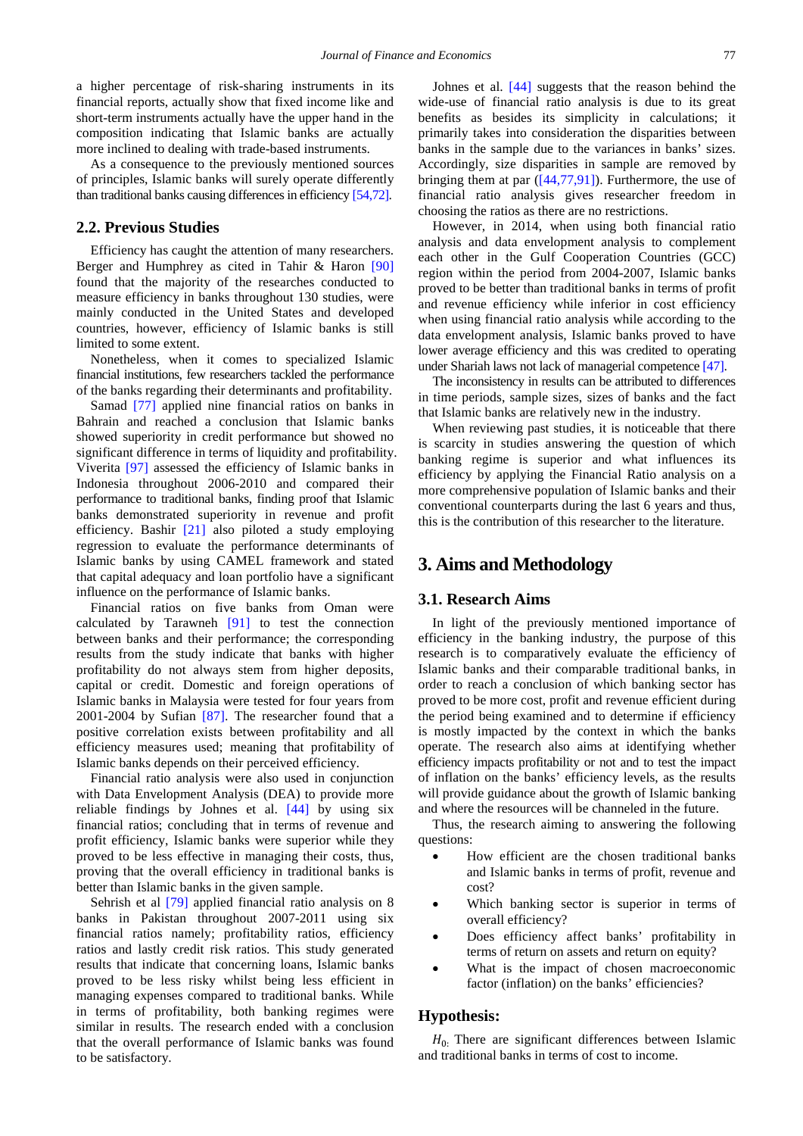a higher percentage of risk-sharing instruments in its financial reports, actually show that fixed income like and short-term instruments actually have the upper hand in the composition indicating that Islamic banks are actually more inclined to dealing with trade-based instruments.

As a consequence to the previously mentioned sources of principles, Islamic banks will surely operate differently than traditional banks causing differences in efficienc[y \[54,72\].](#page-12-9)

## **2.2. Previous Studies**

Efficiency has caught the attention of many researchers. Berger and Humphrey as cited in Tahir & Haron [\[90\]](#page-13-7) found that the majority of the researches conducted to measure efficiency in banks throughout 130 studies, were mainly conducted in the United States and developed countries, however, efficiency of Islamic banks is still limited to some extent.

Nonetheless, when it comes to specialized Islamic financial institutions, few researchers tackled the performance of the banks regarding their determinants and profitability.

Samad [\[77\]](#page-12-17) applied nine financial ratios on banks in Bahrain and reached a conclusion that Islamic banks showed superiority in credit performance but showed no significant difference in terms of liquidity and profitability. Viverita [\[97\]](#page-13-2) assessed the efficiency of Islamic banks in Indonesia throughout 2006-2010 and compared their performance to traditional banks, finding proof that Islamic banks demonstrated superiority in revenue and profit efficiency. Bashir [\[21\]](#page-11-12) also piloted a study employing regression to evaluate the performance determinants of Islamic banks by using CAMEL framework and stated that capital adequacy and loan portfolio have a significant influence on the performance of Islamic banks.

Financial ratios on five banks from Oman were calculated by Tarawneh  $[91]$  to test the connection between banks and their performance; the corresponding results from the study indicate that banks with higher profitability do not always stem from higher deposits, capital or credit. Domestic and foreign operations of Islamic banks in Malaysia were tested for four years from 2001-2004 by Sufian [\[87\].](#page-13-9) The researcher found that a positive correlation exists between profitability and all efficiency measures used; meaning that profitability of Islamic banks depends on their perceived efficiency.

Financial ratio analysis were also used in conjunction with Data Envelopment Analysis (DEA) to provide more reliable findings by Johnes et al. [\[44\]](#page-12-4) by using six financial ratios; concluding that in terms of revenue and profit efficiency, Islamic banks were superior while they proved to be less effective in managing their costs, thus, proving that the overall efficiency in traditional banks is better than Islamic banks in the given sample.

Sehrish et al [\[79\]](#page-12-18) applied financial ratio analysis on 8 banks in Pakistan throughout 2007-2011 using six financial ratios namely; profitability ratios, efficiency ratios and lastly credit risk ratios. This study generated results that indicate that concerning loans, Islamic banks proved to be less risky whilst being less efficient in managing expenses compared to traditional banks. While in terms of profitability, both banking regimes were similar in results. The research ended with a conclusion that the overall performance of Islamic banks was found to be satisfactory.

Johnes et al. [\[44\]](#page-12-4) suggests that the reason behind the wide-use of financial ratio analysis is due to its great benefits as besides its simplicity in calculations; it primarily takes into consideration the disparities between banks in the sample due to the variances in banks' sizes. Accordingly, size disparities in sample are removed by bringing them at par  $([44,77,91])$ . Furthermore, the use of financial ratio analysis gives researcher freedom in choosing the ratios as there are no restrictions.

However, in 2014, when using both financial ratio analysis and data envelopment analysis to complement each other in the Gulf Cooperation Countries (GCC) region within the period from 2004-2007, Islamic banks proved to be better than traditional banks in terms of profit and revenue efficiency while inferior in cost efficiency when using financial ratio analysis while according to the data envelopment analysis, Islamic banks proved to have lower average efficiency and this was credited to operating under Shariah laws not lack of managerial competenc[e \[47\].](#page-12-19)

The inconsistency in results can be attributed to differences in time periods, sample sizes, sizes of banks and the fact that Islamic banks are relatively new in the industry.

When reviewing past studies, it is noticeable that there is scarcity in studies answering the question of which banking regime is superior and what influences its efficiency by applying the Financial Ratio analysis on a more comprehensive population of Islamic banks and their conventional counterparts during the last 6 years and thus, this is the contribution of this researcher to the literature.

## **3. Aims and Methodology**

## **3.1. Research Aims**

In light of the previously mentioned importance of efficiency in the banking industry, the purpose of this research is to comparatively evaluate the efficiency of Islamic banks and their comparable traditional banks, in order to reach a conclusion of which banking sector has proved to be more cost, profit and revenue efficient during the period being examined and to determine if efficiency is mostly impacted by the context in which the banks operate. The research also aims at identifying whether efficiency impacts profitability or not and to test the impact of inflation on the banks' efficiency levels, as the results will provide guidance about the growth of Islamic banking and where the resources will be channeled in the future.

Thus, the research aiming to answering the following questions:

- How efficient are the chosen traditional banks and Islamic banks in terms of profit, revenue and cost?
- Which banking sector is superior in terms of overall efficiency?
- Does efficiency affect banks' profitability in terms of return on assets and return on equity?
- What is the impact of chosen macroeconomic factor (inflation) on the banks' efficiencies?

## **Hypothesis:**

 $H<sub>0</sub>$ : There are significant differences between Islamic and traditional banks in terms of cost to income.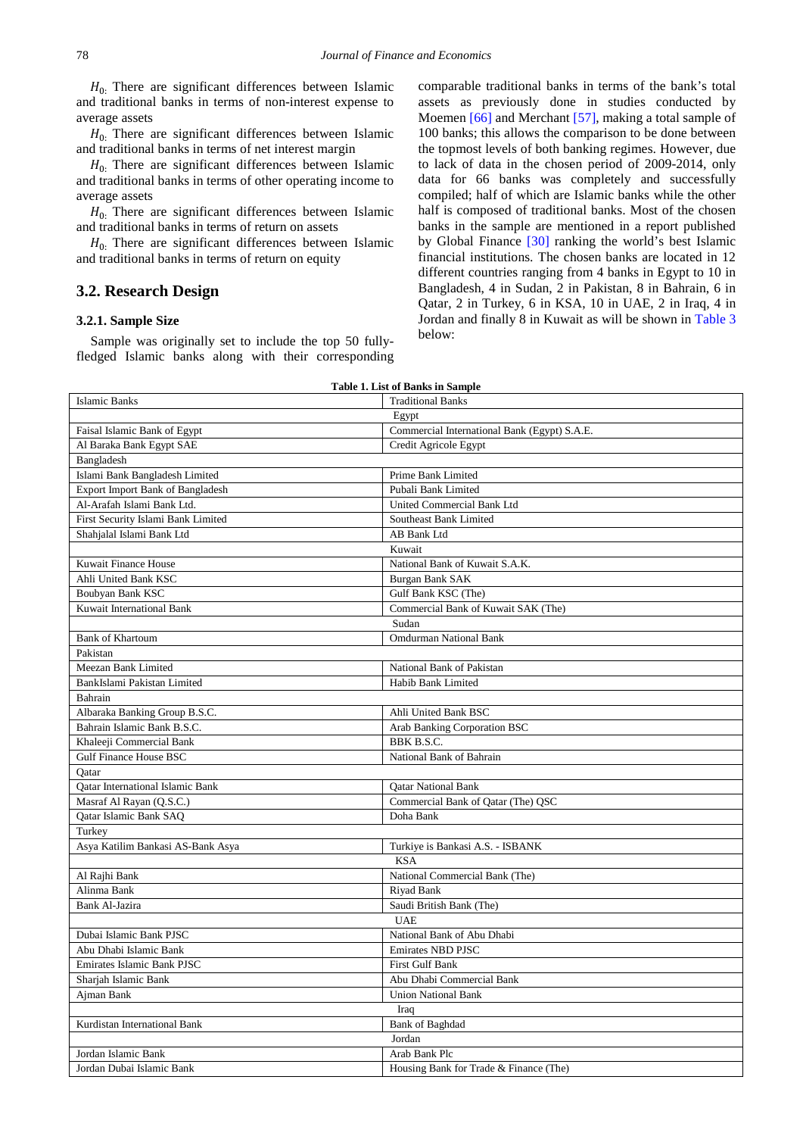$H_0$ . There are significant differences between Islamic and traditional banks in terms of non-interest expense to average assets

 $H<sub>0</sub>$ . There are significant differences between Islamic and traditional banks in terms of net interest margin

 $H<sub>0</sub>$ . There are significant differences between Islamic and traditional banks in terms of other operating income to average assets

 $H<sub>0</sub>$ . There are significant differences between Islamic and traditional banks in terms of return on assets

 $H<sub>0</sub>$ . There are significant differences between Islamic and traditional banks in terms of return on equity

## **3.2. Research Design**

#### **3.2.1. Sample Size**

Sample was originally set to include the top 50 fullyfledged Islamic banks along with their corresponding comparable traditional banks in terms of the bank's total assets as previously done in studies conducted by Moemen [\[66\]](#page-12-20) and Merchant [\[57\],](#page-12-21) making a total sample of 100 banks; this allows the comparison to be done between the topmost levels of both banking regimes. However, due to lack of data in the chosen period of 2009-2014, only data for 66 banks was completely and successfully compiled; half of which are Islamic banks while the other half is composed of traditional banks. Most of the chosen banks in the sample are mentioned in a report published by Global Finance [\[30\]](#page-11-13) ranking the world's best Islamic financial institutions. The chosen banks are located in 12 different countries ranging from 4 banks in Egypt to 10 in Bangladesh, 4 in Sudan, 2 in Pakistan, 8 in Bahrain, 6 in Qatar, 2 in Turkey, 6 in KSA, 10 in UAE, 2 in Iraq, 4 in Jordan and finally 8 in Kuwait as will be shown in [Table 3](#page-5-0) below:

| <b>Islamic Banks</b><br><b>Traditional Banks</b><br>Egypt<br>Commercial International Bank (Egypt) S.A.E.<br>Faisal Islamic Bank of Egypt<br>Al Baraka Bank Egypt SAE<br>Credit Agricole Egypt<br>Bangladesh<br>Islami Bank Bangladesh Limited<br>Prime Bank Limited<br>Export Import Bank of Bangladesh<br>Pubali Bank Limited<br>Al-Arafah Islami Bank Ltd.<br>United Commercial Bank Ltd<br>First Security Islami Bank Limited<br>Southeast Bank Limited<br>Shahjalal Islami Bank Ltd<br>AB Bank Ltd<br>Kuwait<br>Kuwait Finance House<br>National Bank of Kuwait S.A.K.<br>Ahli United Bank KSC<br><b>Burgan Bank SAK</b><br>Boubyan Bank KSC<br>Gulf Bank KSC (The)<br>Kuwait International Bank<br>Commercial Bank of Kuwait SAK (The)<br>Sudan<br><b>Bank of Khartoum</b><br><b>Omdurman National Bank</b><br>Pakistan<br>Meezan Bank Limited<br>National Bank of Pakistan<br>BankIslami Pakistan Limited<br>Habib Bank Limited<br>Bahrain<br>Albaraka Banking Group B.S.C.<br>Ahli United Bank BSC<br>Bahrain Islamic Bank B.S.C.<br>Arab Banking Corporation BSC<br>Khaleeji Commercial Bank<br>BBK B.S.C.<br>Gulf Finance House BSC<br>National Bank of Bahrain<br>Qatar<br>Oatar International Islamic Bank<br><b>Qatar National Bank</b><br>Masraf Al Rayan (Q.S.C.)<br>Commercial Bank of Qatar (The) QSC<br>Qatar Islamic Bank SAQ<br>Doha Bank<br>Turkey<br>Turkiye is Bankasi A.S. - ISBANK<br>Asya Katilim Bankasi AS-Bank Asya<br><b>KSA</b><br>National Commercial Bank (The)<br>Al Rajhi Bank<br>Alinma Bank<br>Riyad Bank<br><b>Bank Al-Jazira</b><br>Saudi British Bank (The)<br><b>UAE</b><br>Dubai Islamic Bank PJSC<br>National Bank of Abu Dhabi<br><b>Emirates NBD PJSC</b><br>Abu Dhabi Islamic Bank<br><b>Emirates Islamic Bank PJSC</b><br><b>First Gulf Bank</b><br>Sharjah Islamic Bank<br>Abu Dhabi Commercial Bank<br>Ajman Bank<br><b>Union National Bank</b><br>Iraq<br>Kurdistan International Bank<br><b>Bank</b> of Baghdad<br>Jordan<br>Arab Bank Plc<br>Jordan Islamic Bank | <b>Table 1. List of Banks in Sample</b> |                                        |  |  |
|----------------------------------------------------------------------------------------------------------------------------------------------------------------------------------------------------------------------------------------------------------------------------------------------------------------------------------------------------------------------------------------------------------------------------------------------------------------------------------------------------------------------------------------------------------------------------------------------------------------------------------------------------------------------------------------------------------------------------------------------------------------------------------------------------------------------------------------------------------------------------------------------------------------------------------------------------------------------------------------------------------------------------------------------------------------------------------------------------------------------------------------------------------------------------------------------------------------------------------------------------------------------------------------------------------------------------------------------------------------------------------------------------------------------------------------------------------------------------------------------------------------------------------------------------------------------------------------------------------------------------------------------------------------------------------------------------------------------------------------------------------------------------------------------------------------------------------------------------------------------------------------------------------------------------------------------------------------------------------------------------------------------|-----------------------------------------|----------------------------------------|--|--|
|                                                                                                                                                                                                                                                                                                                                                                                                                                                                                                                                                                                                                                                                                                                                                                                                                                                                                                                                                                                                                                                                                                                                                                                                                                                                                                                                                                                                                                                                                                                                                                                                                                                                                                                                                                                                                                                                                                                                                                                                                      |                                         |                                        |  |  |
|                                                                                                                                                                                                                                                                                                                                                                                                                                                                                                                                                                                                                                                                                                                                                                                                                                                                                                                                                                                                                                                                                                                                                                                                                                                                                                                                                                                                                                                                                                                                                                                                                                                                                                                                                                                                                                                                                                                                                                                                                      |                                         |                                        |  |  |
|                                                                                                                                                                                                                                                                                                                                                                                                                                                                                                                                                                                                                                                                                                                                                                                                                                                                                                                                                                                                                                                                                                                                                                                                                                                                                                                                                                                                                                                                                                                                                                                                                                                                                                                                                                                                                                                                                                                                                                                                                      |                                         |                                        |  |  |
|                                                                                                                                                                                                                                                                                                                                                                                                                                                                                                                                                                                                                                                                                                                                                                                                                                                                                                                                                                                                                                                                                                                                                                                                                                                                                                                                                                                                                                                                                                                                                                                                                                                                                                                                                                                                                                                                                                                                                                                                                      |                                         |                                        |  |  |
|                                                                                                                                                                                                                                                                                                                                                                                                                                                                                                                                                                                                                                                                                                                                                                                                                                                                                                                                                                                                                                                                                                                                                                                                                                                                                                                                                                                                                                                                                                                                                                                                                                                                                                                                                                                                                                                                                                                                                                                                                      |                                         |                                        |  |  |
|                                                                                                                                                                                                                                                                                                                                                                                                                                                                                                                                                                                                                                                                                                                                                                                                                                                                                                                                                                                                                                                                                                                                                                                                                                                                                                                                                                                                                                                                                                                                                                                                                                                                                                                                                                                                                                                                                                                                                                                                                      |                                         |                                        |  |  |
|                                                                                                                                                                                                                                                                                                                                                                                                                                                                                                                                                                                                                                                                                                                                                                                                                                                                                                                                                                                                                                                                                                                                                                                                                                                                                                                                                                                                                                                                                                                                                                                                                                                                                                                                                                                                                                                                                                                                                                                                                      |                                         |                                        |  |  |
|                                                                                                                                                                                                                                                                                                                                                                                                                                                                                                                                                                                                                                                                                                                                                                                                                                                                                                                                                                                                                                                                                                                                                                                                                                                                                                                                                                                                                                                                                                                                                                                                                                                                                                                                                                                                                                                                                                                                                                                                                      |                                         |                                        |  |  |
|                                                                                                                                                                                                                                                                                                                                                                                                                                                                                                                                                                                                                                                                                                                                                                                                                                                                                                                                                                                                                                                                                                                                                                                                                                                                                                                                                                                                                                                                                                                                                                                                                                                                                                                                                                                                                                                                                                                                                                                                                      |                                         |                                        |  |  |
|                                                                                                                                                                                                                                                                                                                                                                                                                                                                                                                                                                                                                                                                                                                                                                                                                                                                                                                                                                                                                                                                                                                                                                                                                                                                                                                                                                                                                                                                                                                                                                                                                                                                                                                                                                                                                                                                                                                                                                                                                      |                                         |                                        |  |  |
|                                                                                                                                                                                                                                                                                                                                                                                                                                                                                                                                                                                                                                                                                                                                                                                                                                                                                                                                                                                                                                                                                                                                                                                                                                                                                                                                                                                                                                                                                                                                                                                                                                                                                                                                                                                                                                                                                                                                                                                                                      |                                         |                                        |  |  |
|                                                                                                                                                                                                                                                                                                                                                                                                                                                                                                                                                                                                                                                                                                                                                                                                                                                                                                                                                                                                                                                                                                                                                                                                                                                                                                                                                                                                                                                                                                                                                                                                                                                                                                                                                                                                                                                                                                                                                                                                                      |                                         |                                        |  |  |
|                                                                                                                                                                                                                                                                                                                                                                                                                                                                                                                                                                                                                                                                                                                                                                                                                                                                                                                                                                                                                                                                                                                                                                                                                                                                                                                                                                                                                                                                                                                                                                                                                                                                                                                                                                                                                                                                                                                                                                                                                      |                                         |                                        |  |  |
|                                                                                                                                                                                                                                                                                                                                                                                                                                                                                                                                                                                                                                                                                                                                                                                                                                                                                                                                                                                                                                                                                                                                                                                                                                                                                                                                                                                                                                                                                                                                                                                                                                                                                                                                                                                                                                                                                                                                                                                                                      |                                         |                                        |  |  |
|                                                                                                                                                                                                                                                                                                                                                                                                                                                                                                                                                                                                                                                                                                                                                                                                                                                                                                                                                                                                                                                                                                                                                                                                                                                                                                                                                                                                                                                                                                                                                                                                                                                                                                                                                                                                                                                                                                                                                                                                                      |                                         |                                        |  |  |
|                                                                                                                                                                                                                                                                                                                                                                                                                                                                                                                                                                                                                                                                                                                                                                                                                                                                                                                                                                                                                                                                                                                                                                                                                                                                                                                                                                                                                                                                                                                                                                                                                                                                                                                                                                                                                                                                                                                                                                                                                      |                                         |                                        |  |  |
|                                                                                                                                                                                                                                                                                                                                                                                                                                                                                                                                                                                                                                                                                                                                                                                                                                                                                                                                                                                                                                                                                                                                                                                                                                                                                                                                                                                                                                                                                                                                                                                                                                                                                                                                                                                                                                                                                                                                                                                                                      |                                         |                                        |  |  |
|                                                                                                                                                                                                                                                                                                                                                                                                                                                                                                                                                                                                                                                                                                                                                                                                                                                                                                                                                                                                                                                                                                                                                                                                                                                                                                                                                                                                                                                                                                                                                                                                                                                                                                                                                                                                                                                                                                                                                                                                                      |                                         |                                        |  |  |
|                                                                                                                                                                                                                                                                                                                                                                                                                                                                                                                                                                                                                                                                                                                                                                                                                                                                                                                                                                                                                                                                                                                                                                                                                                                                                                                                                                                                                                                                                                                                                                                                                                                                                                                                                                                                                                                                                                                                                                                                                      |                                         |                                        |  |  |
|                                                                                                                                                                                                                                                                                                                                                                                                                                                                                                                                                                                                                                                                                                                                                                                                                                                                                                                                                                                                                                                                                                                                                                                                                                                                                                                                                                                                                                                                                                                                                                                                                                                                                                                                                                                                                                                                                                                                                                                                                      |                                         |                                        |  |  |
|                                                                                                                                                                                                                                                                                                                                                                                                                                                                                                                                                                                                                                                                                                                                                                                                                                                                                                                                                                                                                                                                                                                                                                                                                                                                                                                                                                                                                                                                                                                                                                                                                                                                                                                                                                                                                                                                                                                                                                                                                      |                                         |                                        |  |  |
|                                                                                                                                                                                                                                                                                                                                                                                                                                                                                                                                                                                                                                                                                                                                                                                                                                                                                                                                                                                                                                                                                                                                                                                                                                                                                                                                                                                                                                                                                                                                                                                                                                                                                                                                                                                                                                                                                                                                                                                                                      |                                         |                                        |  |  |
|                                                                                                                                                                                                                                                                                                                                                                                                                                                                                                                                                                                                                                                                                                                                                                                                                                                                                                                                                                                                                                                                                                                                                                                                                                                                                                                                                                                                                                                                                                                                                                                                                                                                                                                                                                                                                                                                                                                                                                                                                      |                                         |                                        |  |  |
|                                                                                                                                                                                                                                                                                                                                                                                                                                                                                                                                                                                                                                                                                                                                                                                                                                                                                                                                                                                                                                                                                                                                                                                                                                                                                                                                                                                                                                                                                                                                                                                                                                                                                                                                                                                                                                                                                                                                                                                                                      |                                         |                                        |  |  |
|                                                                                                                                                                                                                                                                                                                                                                                                                                                                                                                                                                                                                                                                                                                                                                                                                                                                                                                                                                                                                                                                                                                                                                                                                                                                                                                                                                                                                                                                                                                                                                                                                                                                                                                                                                                                                                                                                                                                                                                                                      |                                         |                                        |  |  |
|                                                                                                                                                                                                                                                                                                                                                                                                                                                                                                                                                                                                                                                                                                                                                                                                                                                                                                                                                                                                                                                                                                                                                                                                                                                                                                                                                                                                                                                                                                                                                                                                                                                                                                                                                                                                                                                                                                                                                                                                                      |                                         |                                        |  |  |
|                                                                                                                                                                                                                                                                                                                                                                                                                                                                                                                                                                                                                                                                                                                                                                                                                                                                                                                                                                                                                                                                                                                                                                                                                                                                                                                                                                                                                                                                                                                                                                                                                                                                                                                                                                                                                                                                                                                                                                                                                      |                                         |                                        |  |  |
|                                                                                                                                                                                                                                                                                                                                                                                                                                                                                                                                                                                                                                                                                                                                                                                                                                                                                                                                                                                                                                                                                                                                                                                                                                                                                                                                                                                                                                                                                                                                                                                                                                                                                                                                                                                                                                                                                                                                                                                                                      |                                         |                                        |  |  |
|                                                                                                                                                                                                                                                                                                                                                                                                                                                                                                                                                                                                                                                                                                                                                                                                                                                                                                                                                                                                                                                                                                                                                                                                                                                                                                                                                                                                                                                                                                                                                                                                                                                                                                                                                                                                                                                                                                                                                                                                                      |                                         |                                        |  |  |
|                                                                                                                                                                                                                                                                                                                                                                                                                                                                                                                                                                                                                                                                                                                                                                                                                                                                                                                                                                                                                                                                                                                                                                                                                                                                                                                                                                                                                                                                                                                                                                                                                                                                                                                                                                                                                                                                                                                                                                                                                      |                                         |                                        |  |  |
|                                                                                                                                                                                                                                                                                                                                                                                                                                                                                                                                                                                                                                                                                                                                                                                                                                                                                                                                                                                                                                                                                                                                                                                                                                                                                                                                                                                                                                                                                                                                                                                                                                                                                                                                                                                                                                                                                                                                                                                                                      |                                         |                                        |  |  |
|                                                                                                                                                                                                                                                                                                                                                                                                                                                                                                                                                                                                                                                                                                                                                                                                                                                                                                                                                                                                                                                                                                                                                                                                                                                                                                                                                                                                                                                                                                                                                                                                                                                                                                                                                                                                                                                                                                                                                                                                                      |                                         |                                        |  |  |
|                                                                                                                                                                                                                                                                                                                                                                                                                                                                                                                                                                                                                                                                                                                                                                                                                                                                                                                                                                                                                                                                                                                                                                                                                                                                                                                                                                                                                                                                                                                                                                                                                                                                                                                                                                                                                                                                                                                                                                                                                      |                                         |                                        |  |  |
|                                                                                                                                                                                                                                                                                                                                                                                                                                                                                                                                                                                                                                                                                                                                                                                                                                                                                                                                                                                                                                                                                                                                                                                                                                                                                                                                                                                                                                                                                                                                                                                                                                                                                                                                                                                                                                                                                                                                                                                                                      |                                         |                                        |  |  |
|                                                                                                                                                                                                                                                                                                                                                                                                                                                                                                                                                                                                                                                                                                                                                                                                                                                                                                                                                                                                                                                                                                                                                                                                                                                                                                                                                                                                                                                                                                                                                                                                                                                                                                                                                                                                                                                                                                                                                                                                                      |                                         |                                        |  |  |
|                                                                                                                                                                                                                                                                                                                                                                                                                                                                                                                                                                                                                                                                                                                                                                                                                                                                                                                                                                                                                                                                                                                                                                                                                                                                                                                                                                                                                                                                                                                                                                                                                                                                                                                                                                                                                                                                                                                                                                                                                      |                                         |                                        |  |  |
|                                                                                                                                                                                                                                                                                                                                                                                                                                                                                                                                                                                                                                                                                                                                                                                                                                                                                                                                                                                                                                                                                                                                                                                                                                                                                                                                                                                                                                                                                                                                                                                                                                                                                                                                                                                                                                                                                                                                                                                                                      |                                         |                                        |  |  |
|                                                                                                                                                                                                                                                                                                                                                                                                                                                                                                                                                                                                                                                                                                                                                                                                                                                                                                                                                                                                                                                                                                                                                                                                                                                                                                                                                                                                                                                                                                                                                                                                                                                                                                                                                                                                                                                                                                                                                                                                                      |                                         |                                        |  |  |
|                                                                                                                                                                                                                                                                                                                                                                                                                                                                                                                                                                                                                                                                                                                                                                                                                                                                                                                                                                                                                                                                                                                                                                                                                                                                                                                                                                                                                                                                                                                                                                                                                                                                                                                                                                                                                                                                                                                                                                                                                      |                                         |                                        |  |  |
|                                                                                                                                                                                                                                                                                                                                                                                                                                                                                                                                                                                                                                                                                                                                                                                                                                                                                                                                                                                                                                                                                                                                                                                                                                                                                                                                                                                                                                                                                                                                                                                                                                                                                                                                                                                                                                                                                                                                                                                                                      |                                         |                                        |  |  |
|                                                                                                                                                                                                                                                                                                                                                                                                                                                                                                                                                                                                                                                                                                                                                                                                                                                                                                                                                                                                                                                                                                                                                                                                                                                                                                                                                                                                                                                                                                                                                                                                                                                                                                                                                                                                                                                                                                                                                                                                                      |                                         |                                        |  |  |
|                                                                                                                                                                                                                                                                                                                                                                                                                                                                                                                                                                                                                                                                                                                                                                                                                                                                                                                                                                                                                                                                                                                                                                                                                                                                                                                                                                                                                                                                                                                                                                                                                                                                                                                                                                                                                                                                                                                                                                                                                      |                                         |                                        |  |  |
|                                                                                                                                                                                                                                                                                                                                                                                                                                                                                                                                                                                                                                                                                                                                                                                                                                                                                                                                                                                                                                                                                                                                                                                                                                                                                                                                                                                                                                                                                                                                                                                                                                                                                                                                                                                                                                                                                                                                                                                                                      |                                         |                                        |  |  |
|                                                                                                                                                                                                                                                                                                                                                                                                                                                                                                                                                                                                                                                                                                                                                                                                                                                                                                                                                                                                                                                                                                                                                                                                                                                                                                                                                                                                                                                                                                                                                                                                                                                                                                                                                                                                                                                                                                                                                                                                                      |                                         |                                        |  |  |
|                                                                                                                                                                                                                                                                                                                                                                                                                                                                                                                                                                                                                                                                                                                                                                                                                                                                                                                                                                                                                                                                                                                                                                                                                                                                                                                                                                                                                                                                                                                                                                                                                                                                                                                                                                                                                                                                                                                                                                                                                      |                                         |                                        |  |  |
|                                                                                                                                                                                                                                                                                                                                                                                                                                                                                                                                                                                                                                                                                                                                                                                                                                                                                                                                                                                                                                                                                                                                                                                                                                                                                                                                                                                                                                                                                                                                                                                                                                                                                                                                                                                                                                                                                                                                                                                                                      | Jordan Dubai Islamic Bank               | Housing Bank for Trade & Finance (The) |  |  |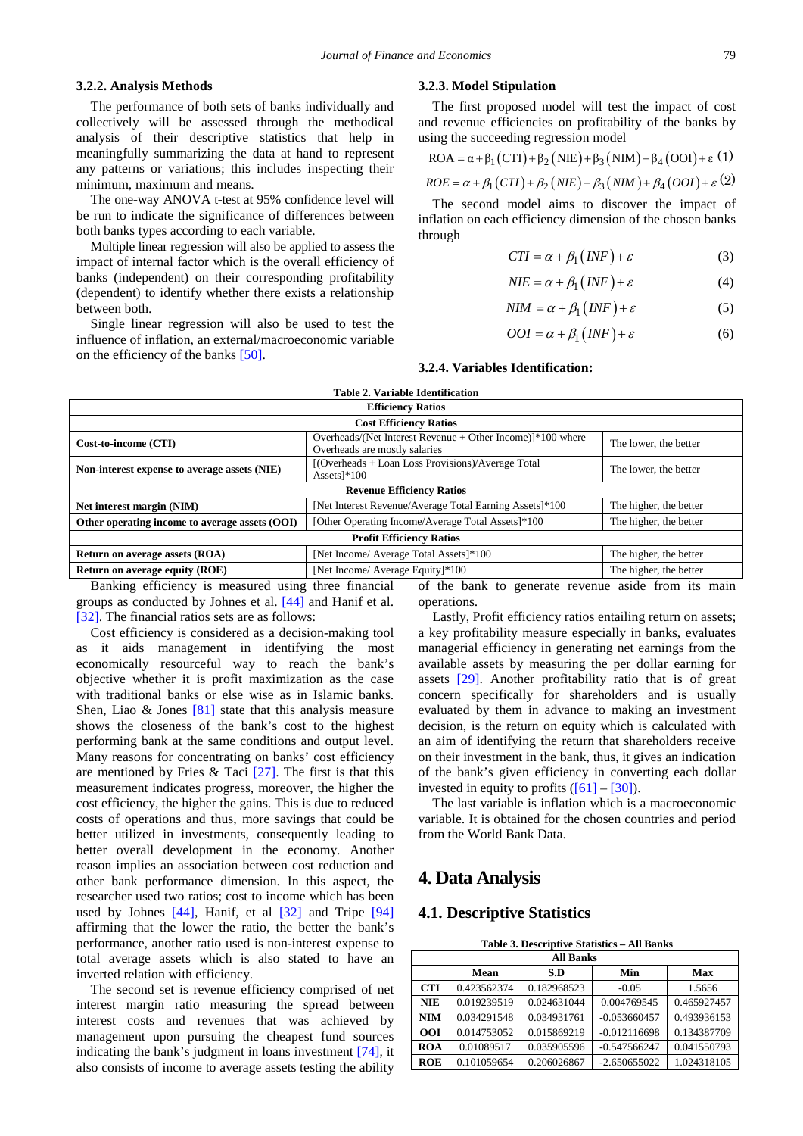#### **3.2.2. Analysis Methods**

The performance of both sets of banks individually and collectively will be assessed through the methodical analysis of their descriptive statistics that help in meaningfully summarizing the data at hand to represent any patterns or variations; this includes inspecting their minimum, maximum and means.

The one-way ANOVA t-test at 95% confidence level will be run to indicate the significance of differences between both banks types according to each variable.

Multiple linear regression will also be applied to assess the impact of internal factor which is the overall efficiency of banks (independent) on their corresponding profitability (dependent) to identify whether there exists a relationship between both.

Single linear regression will also be used to test the influence of inflation, an external/macroeconomic variable on the efficiency of the banks [\[50\].](#page-12-13)

#### **3.2.3. Model Stipulation**

The first proposed model will test the impact of cost and revenue efficiencies on profitability of the banks by using the succeeding regression model

$$
ROA = \alpha + \beta_1 (CTI) + \beta_2 (NIE) + \beta_3 (NIM) + \beta_4 (OOI) + \varepsilon (1)
$$

$$
ROE = \alpha + \beta_1 (CTI) + \beta_2 (NIE) + \beta_3 (NIM) + \beta_4 (OOI) + \varepsilon (2)
$$

The second model aims to discover the impact of inflation on each efficiency dimension of the chosen banks through

$$
CTI = \alpha + \beta_1 \left(NF\right) + \varepsilon \tag{3}
$$

$$
NIE = \alpha + \beta_1 (INF) + \varepsilon \tag{4}
$$

$$
NIM = \alpha + \beta_1 (INF) + \varepsilon \tag{5}
$$

$$
OOI = \alpha + \beta_1 (INF) + \varepsilon \tag{6}
$$

#### **3.2.4. Variables Identification:**

| Table 2. Variable Identification               |                                                                                                  |                        |  |  |
|------------------------------------------------|--------------------------------------------------------------------------------------------------|------------------------|--|--|
| <b>Efficiency Ratios</b>                       |                                                                                                  |                        |  |  |
| <b>Cost Efficiency Ratios</b>                  |                                                                                                  |                        |  |  |
| Cost-to-income (CTI)                           | Overheads/(Net Interest Revenue $+$ Other Income)] $*100$ where<br>Overheads are mostly salaries | The lower, the better  |  |  |
| Non-interest expense to average assets (NIE)   | [(Overheads + Loan Loss Provisions)/Average Total<br>Assets $*100$                               | The lower, the better  |  |  |
| <b>Revenue Efficiency Ratios</b>               |                                                                                                  |                        |  |  |
| Net interest margin (NIM)                      | [Net Interest Revenue/Average Total Earning Assets]*100                                          | The higher, the better |  |  |
| Other operating income to average assets (OOI) | [Other Operating Income/Average Total Assets]*100                                                | The higher, the better |  |  |
| <b>Profit Efficiency Ratios</b>                |                                                                                                  |                        |  |  |
| <b>Return on average assets (ROA)</b>          | [Net Income/ Average Total Assets]*100                                                           | The higher, the better |  |  |
| <b>Return on average equity (ROE)</b>          | [Net Income/ Average Equity]*100                                                                 | The higher, the better |  |  |
| $\mathbf{r}$ as $\mathbf{r}$                   | .                                                                                                |                        |  |  |

Banking efficiency is measured using three financial groups as conducted by Johnes et al. [\[44\]](#page-12-4) and Hanif et al. [\[32\].](#page-12-3) The financial ratios sets are as follows:

Cost efficiency is considered as a decision-making tool as it aids management in identifying the most economically resourceful way to reach the bank's objective whether it is profit maximization as the case with traditional banks or else wise as in Islamic banks. Shen, Liao  $\&$  Jones [\[81\]](#page-13-10) state that this analysis measure shows the closeness of the bank's cost to the highest performing bank at the same conditions and output level. Many reasons for concentrating on banks' cost efficiency are mentioned by Fries & Taci  $[27]$ . The first is that this measurement indicates progress, moreover, the higher the cost efficiency, the higher the gains. This is due to reduced costs of operations and thus, more savings that could be better utilized in investments, consequently leading to better overall development in the economy. Another reason implies an association between cost reduction and other bank performance dimension. In this aspect, the researcher used two ratios; cost to income which has been used by Johnes [\[44\],](#page-12-4) Hanif, et al [\[32\]](#page-12-3) and Tripe [\[94\]](#page-13-11) affirming that the lower the ratio, the better the bank's performance, another ratio used is non-interest expense to total average assets which is also stated to have an inverted relation with efficiency.

The second set is revenue efficiency comprised of net interest margin ratio measuring the spread between interest costs and revenues that was achieved by management upon pursuing the cheapest fund sources indicating the bank's judgment in loans investment [\[74\],](#page-12-5) it also consists of income to average assets testing the ability

of the bank to generate revenue aside from its main operations.

Lastly, Profit efficiency ratios entailing return on assets; a key profitability measure especially in banks, evaluates managerial efficiency in generating net earnings from the available assets by measuring the per dollar earning for assets [\[29\].](#page-11-15) Another profitability ratio that is of great concern specifically for shareholders and is usually evaluated by them in advance to making an investment decision, is the return on equity which is calculated with an aim of identifying the return that shareholders receive on their investment in the bank, thus, it gives an indication of the bank's given efficiency in converting each dollar invested in equity to profits  $([61] - [30])$  $([61] - [30])$  $([61] - [30])$ .

The last variable is inflation which is a macroeconomic variable. It is obtained for the chosen countries and period from the World Bank Data.

## **4. Data Analysis**

## **4.1. Descriptive Statistics**

| Table 3. Descriptive Statistics - All Banks |  |  |
|---------------------------------------------|--|--|
|---------------------------------------------|--|--|

<span id="page-5-0"></span>

| <b>All Banks</b> |             |             |                |             |
|------------------|-------------|-------------|----------------|-------------|
|                  | Mean        | S.D         | Min            | Max         |
| <b>CTI</b>       | 0.423562374 | 0.182968523 | $-0.05$        | 1.5656      |
| <b>NIE</b>       | 0.019239519 | 0.024631044 | 0.004769545    | 0.465927457 |
| <b>NIM</b>       | 0.034291548 | 0.034931761 | $-0.053660457$ | 0.493936153 |
| <b>OOI</b>       | 0.014753052 | 0.015869219 | $-0.012116698$ | 0.134387709 |
| <b>ROA</b>       | 0.01089517  | 0.035905596 | $-0.547566247$ | 0.041550793 |
| <b>ROE</b>       | 0.101059654 | 0.206026867 | $-2.650655022$ | 1.024318105 |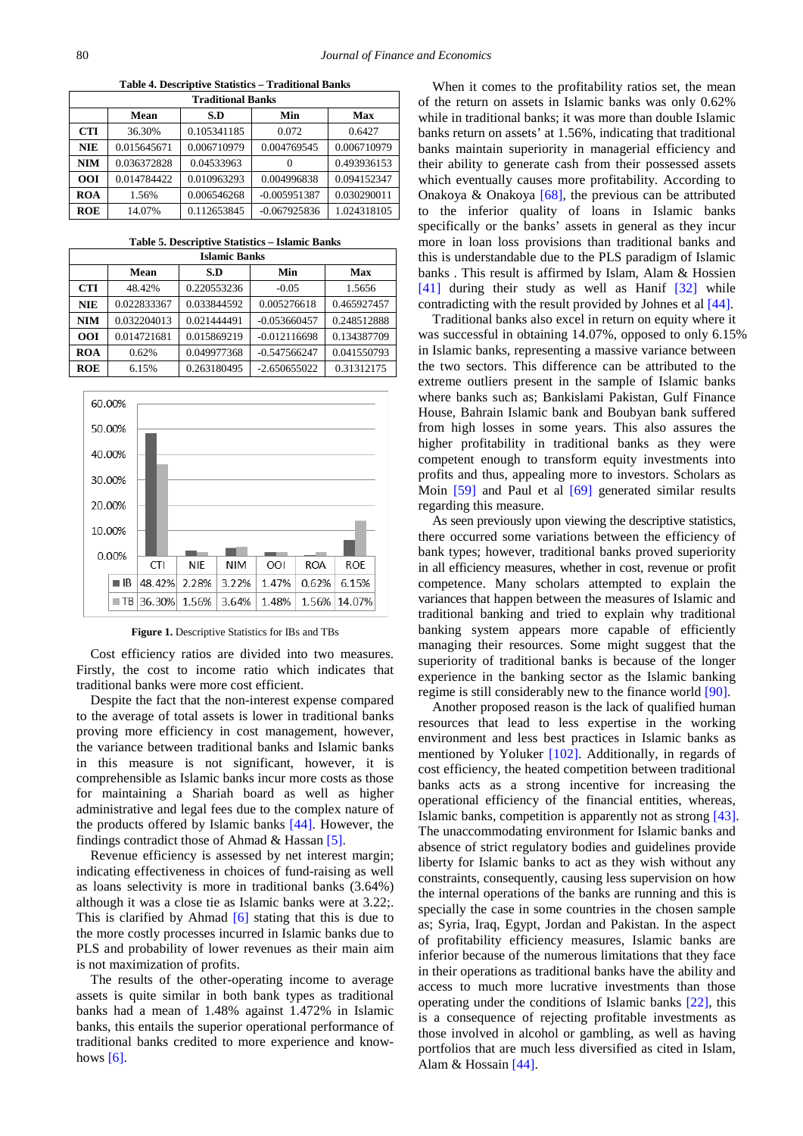**Table 4. Descriptive Statistics – Traditional Banks**

| <b>Traditional Banks</b> |             |             |                |             |
|--------------------------|-------------|-------------|----------------|-------------|
|                          | Mean        | S.D         | Min            | Max         |
| <b>CTI</b>               | 36.30%      | 0.105341185 | 0.072          | 0.6427      |
| <b>NIE</b>               | 0.015645671 | 0.006710979 | 0.004769545    | 0.006710979 |
| <b>NIM</b>               | 0.036372828 | 0.04533963  | $\theta$       | 0.493936153 |
| <b>OOI</b>               | 0.014784422 | 0.010963293 | 0.004996838    | 0.094152347 |
| <b>ROA</b>               | 1.56%       | 0.006546268 | $-0.005951387$ | 0.030290011 |
| <b>ROE</b>               | 14.07%      | 0.112653845 | $-0.067925836$ | 1.024318105 |

| Table 5. Descriptive Statistics - Islamic Banks |
|-------------------------------------------------|
|-------------------------------------------------|

|            | <b>Islamic Banks</b> |             |                |             |  |
|------------|----------------------|-------------|----------------|-------------|--|
|            | Mean                 | S.D         | Min            | Max         |  |
| <b>CTI</b> | 48.42%               | 0.220553236 | $-0.05$        | 1.5656      |  |
| <b>NIE</b> | 0.022833367          | 0.033844592 | 0.005276618    | 0.465927457 |  |
| <b>NIM</b> | 0.032204013          | 0.021444491 | $-0.053660457$ | 0.248512888 |  |
| <b>OOI</b> | 0.014721681          | 0.015869219 | $-0.012116698$ | 0.134387709 |  |
| <b>ROA</b> | 0.62%                | 0.049977368 | $-0.547566247$ | 0.041550793 |  |
| <b>ROE</b> | 6.15%                | 0.263180495 | $-2.650655022$ | 0.31312175  |  |



**Figure 1.** Descriptive Statistics for IBs and TBs

Cost efficiency ratios are divided into two measures. Firstly, the cost to income ratio which indicates that traditional banks were more cost efficient.

Despite the fact that the non-interest expense compared to the average of total assets is lower in traditional banks proving more efficiency in cost management, however, the variance between traditional banks and Islamic banks in this measure is not significant, however, it is comprehensible as Islamic banks incur more costs as those for maintaining a Shariah board as well as higher administrative and legal fees due to the complex nature of the products offered by Islamic banks [\[44\].](#page-12-4) However, the findings contradict those of Ahmad & Hassan [\[5\].](#page-11-16)

Revenue efficiency is assessed by net interest margin; indicating effectiveness in choices of fund-raising as well as loans selectivity is more in traditional banks (3.64%) although it was a close tie as Islamic banks were at 3.22;. This is clarified by Ahmad [\[6\]](#page-11-17) stating that this is due to the more costly processes incurred in Islamic banks due to PLS and probability of lower revenues as their main aim is not maximization of profits.

The results of the other-operating income to average assets is quite similar in both bank types as traditional banks had a mean of 1.48% against 1.472% in Islamic banks, this entails the superior operational performance of traditional banks credited to more experience and knowhows  $[6]$ .

When it comes to the profitability ratios set, the mean of the return on assets in Islamic banks was only 0.62% while in traditional banks; it was more than double Islamic banks return on assets' at 1.56%, indicating that traditional banks maintain superiority in managerial efficiency and their ability to generate cash from their possessed assets which eventually causes more profitability. According to Onakoya & Onakoya [\[68\],](#page-12-23) the previous can be attributed to the inferior quality of loans in Islamic banks specifically or the banks' assets in general as they incur more in loan loss provisions than traditional banks and this is understandable due to the PLS paradigm of Islamic banks . This result is affirmed by Islam, Alam & Hossien [\[41\]](#page-12-24) during their study as well as Hanif [\[32\]](#page-12-3) while contradicting with the result provided by Johnes et al [\[44\].](#page-12-4)

Traditional banks also excel in return on equity where it was successful in obtaining 14.07%, opposed to only 6.15% in Islamic banks, representing a massive variance between the two sectors. This difference can be attributed to the extreme outliers present in the sample of Islamic banks where banks such as; Bankislami Pakistan, Gulf Finance House, Bahrain Islamic bank and Boubyan bank suffered from high losses in some years. This also assures the higher profitability in traditional banks as they were competent enough to transform equity investments into profits and thus, appealing more to investors. Scholars as Moin [\[59\]](#page-12-25) and Paul et al [\[69\]](#page-12-26) generated similar results regarding this measure.

As seen previously upon viewing the descriptive statistics, there occurred some variations between the efficiency of bank types; however, traditional banks proved superiority in all efficiency measures, whether in cost, revenue or profit competence. Many scholars attempted to explain the variances that happen between the measures of Islamic and traditional banking and tried to explain why traditional banking system appears more capable of efficiently managing their resources. Some might suggest that the superiority of traditional banks is because of the longer experience in the banking sector as the Islamic banking regime is still considerably new to the finance worl[d \[90\].](#page-13-7) 

Another proposed reason is the lack of qualified human resources that lead to less expertise in the working environment and less best practices in Islamic banks as mentioned by Yoluker [\[102\].](#page-13-5) Additionally, in regards of cost efficiency, the heated competition between traditional banks acts as a strong incentive for increasing the operational efficiency of the financial entities, whereas, Islamic banks, competition is apparently not as strong [\[43\].](#page-12-27) The unaccommodating environment for Islamic banks and absence of strict regulatory bodies and guidelines provide liberty for Islamic banks to act as they wish without any constraints, consequently, causing less supervision on how the internal operations of the banks are running and this is specially the case in some countries in the chosen sample as; Syria, Iraq, Egypt, Jordan and Pakistan. In the aspect of profitability efficiency measures, Islamic banks are inferior because of the numerous limitations that they face in their operations as traditional banks have the ability and access to much more lucrative investments than those operating under the conditions of Islamic banks [\[22\],](#page-11-18) this is a consequence of rejecting profitable investments as those involved in alcohol or gambling, as well as having portfolios that are much less diversified as cited in Islam, Alam & Hossain [\[44\].](#page-12-4)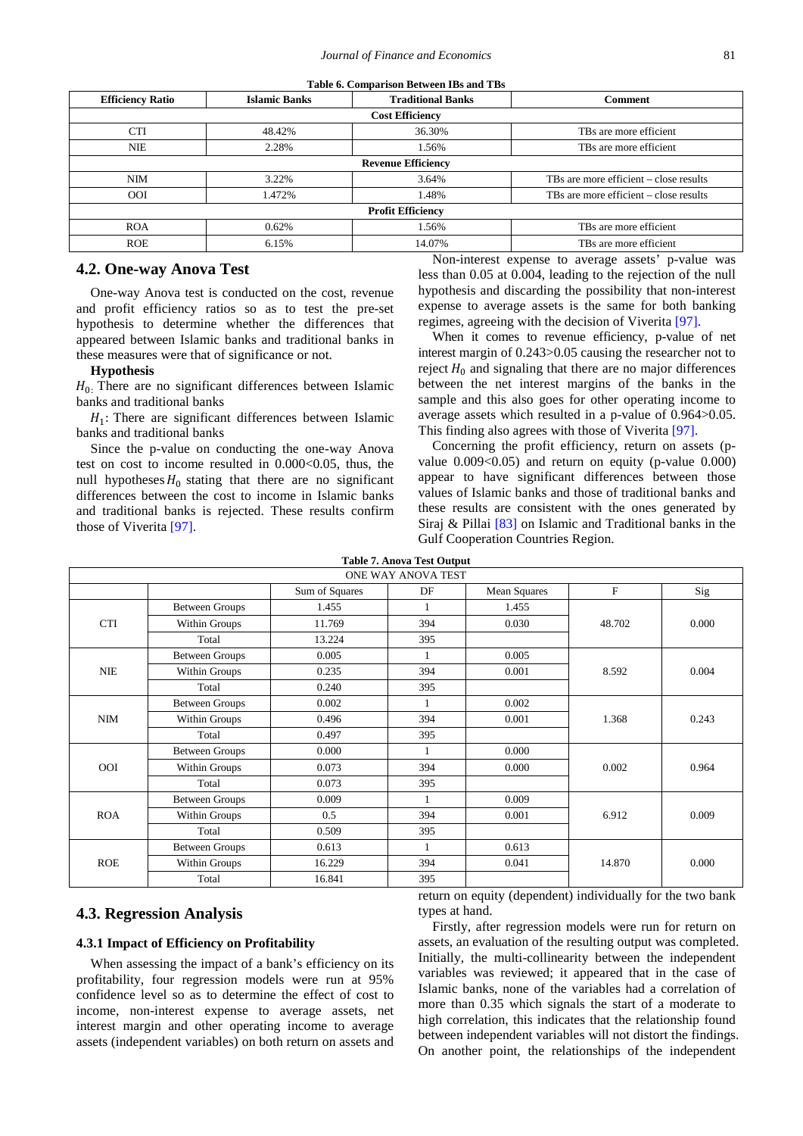| Table 6. Comparison Between IBs and TBs |                      |                           |                                        |  |
|-----------------------------------------|----------------------|---------------------------|----------------------------------------|--|
| <b>Efficiency Ratio</b>                 | <b>Islamic Banks</b> | <b>Traditional Banks</b>  | <b>Comment</b>                         |  |
|                                         |                      | <b>Cost Efficiency</b>    |                                        |  |
| <b>CTI</b>                              | 48.42%               | 36.30%                    | TBs are more efficient                 |  |
| <b>NIE</b>                              | 2.28%                | 1.56%                     | TBs are more efficient                 |  |
|                                         |                      | <b>Revenue Efficiency</b> |                                        |  |
| <b>NIM</b>                              | 3.22%                | 3.64%                     | TBs are more efficient – close results |  |
| <b>OOI</b>                              | 1.472%               | 1.48%                     | TBs are more efficient – close results |  |
|                                         |                      | <b>Profit Efficiency</b>  |                                        |  |
| <b>ROA</b>                              | 0.62%                | 1.56%                     | TBs are more efficient                 |  |
| <b>ROE</b>                              | 6.15%                | 14.07%                    | TBs are more efficient.                |  |

## **4.2. One-way Anova Test**

One-way Anova test is conducted on the cost, revenue and profit efficiency ratios so as to test the pre-set hypothesis to determine whether the differences that appeared between Islamic banks and traditional banks in these measures were that of significance or not.

#### **Hypothesis**

 $H<sub>0</sub>$ . There are no significant differences between Islamic banks and traditional banks

 $H_1$ : There are significant differences between Islamic banks and traditional banks

Since the p-value on conducting the one-way Anova test on cost to income resulted in  $0.000<0.05$ , thus, the null hypotheses  $H_0$  stating that there are no significant differences between the cost to income in Islamic banks and traditional banks is rejected. These results confirm those of Viverita [\[97\].](#page-13-2)

Non-interest expense to average assets' p-value was less than 0.05 at 0.004, leading to the rejection of the null hypothesis and discarding the possibility that non-interest expense to average assets is the same for both banking regimes, agreeing with the decision of Viverit[a \[97\].](#page-13-2)

When it comes to revenue efficiency, p-value of net interest margin of 0.243>0.05 causing the researcher not to reject  $H_0$  and signaling that there are no major differences between the net interest margins of the banks in the sample and this also goes for other operating income to average assets which resulted in a p-value of 0.964>0.05. This finding also agrees with those of Viverita [\[97\].](#page-13-2)

Concerning the profit efficiency, return on assets (pvalue  $0.009<0.05$  and return on equity (p-value  $0.000$ ) appear to have significant differences between those values of Islamic banks and those of traditional banks and these results are consistent with the ones generated by Siraj & Pillai [\[83\]](#page-13-12) on Islamic and Traditional banks in the Gulf Cooperation Countries Region.

| <b>Table 7. Anova Test Output</b> |  |
|-----------------------------------|--|
|-----------------------------------|--|

|            |                       |                | Tabit 7. Aliova Test Output<br>ONE WAY ANOVA TEST |                     |             |       |
|------------|-----------------------|----------------|---------------------------------------------------|---------------------|-------------|-------|
|            |                       | Sum of Squares | DF                                                | <b>Mean Squares</b> | $\mathbf F$ | Sig   |
|            | <b>Between Groups</b> | 1.455          | 1                                                 | 1.455               |             |       |
| <b>CTI</b> | Within Groups         | 11.769         | 394                                               | 0.030               | 48.702      | 0.000 |
|            | Total                 | 13.224         | 395                                               |                     |             |       |
|            | <b>Between Groups</b> | 0.005          |                                                   | 0.005               |             |       |
| $NIE$      | Within Groups         | 0.235          | 394                                               | 0.001               | 8.592       | 0.004 |
|            | Total                 | 0.240          | 395                                               |                     |             |       |
|            | <b>Between Groups</b> | 0.002          |                                                   | 0.002               |             |       |
| <b>NIM</b> | Within Groups         | 0.496          | 394                                               | 0.001               | 1.368       | 0.243 |
|            | Total                 | 0.497          | 395                                               |                     |             |       |
|            | <b>Between Groups</b> | 0.000          |                                                   | 0.000               |             |       |
| <b>OOI</b> | Within Groups         | 0.073          | 394                                               | 0.000               | 0.002       | 0.964 |
|            | Total                 | 0.073          | 395                                               |                     |             |       |
|            | <b>Between Groups</b> | 0.009          |                                                   | 0.009               |             |       |
| <b>ROA</b> | Within Groups         | 0.5            | 394                                               | 0.001               | 6.912       | 0.009 |
|            | Total                 | 0.509          | 395                                               |                     |             |       |
|            | <b>Between Groups</b> | 0.613          |                                                   | 0.613               |             |       |
| <b>ROE</b> | Within Groups         | 16.229         | 394                                               | 0.041               | 14.870      | 0.000 |
|            | Total                 | 16.841         | 395                                               |                     |             |       |

## **4.3. Regression Analysis**

#### **4.3.1 Impact of Efficiency on Profitability**

When assessing the impact of a bank's efficiency on its profitability, four regression models were run at 95% confidence level so as to determine the effect of cost to income, non-interest expense to average assets, net interest margin and other operating income to average assets (independent variables) on both return on assets and return on equity (dependent) individually for the two bank types at hand.

Firstly, after regression models were run for return on assets, an evaluation of the resulting output was completed. Initially, the multi-collinearity between the independent variables was reviewed; it appeared that in the case of Islamic banks, none of the variables had a correlation of more than 0.35 which signals the start of a moderate to high correlation, this indicates that the relationship found between independent variables will not distort the findings. On another point, the relationships of the independent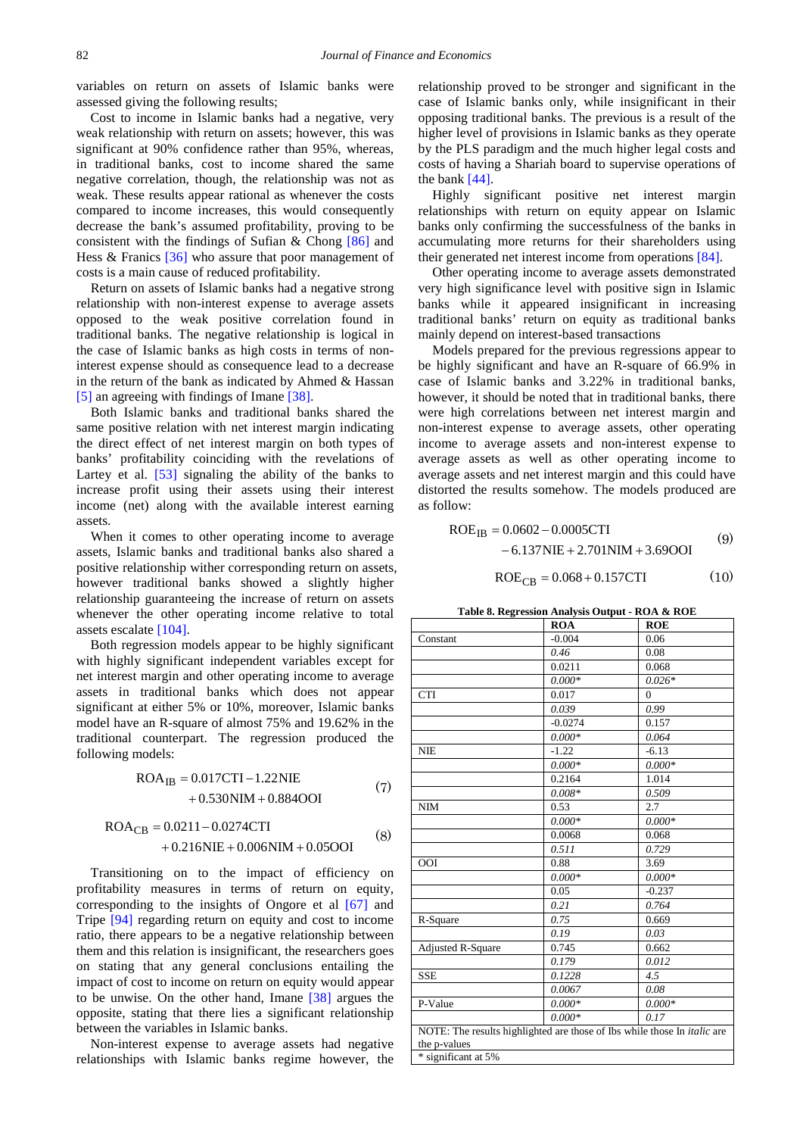variables on return on assets of Islamic banks were assessed giving the following results;

Cost to income in Islamic banks had a negative, very weak relationship with return on assets; however, this was significant at 90% confidence rather than 95%, whereas, in traditional banks, cost to income shared the same negative correlation, though, the relationship was not as weak. These results appear rational as whenever the costs compared to income increases, this would consequently decrease the bank's assumed profitability, proving to be consistent with the findings of Sufian & Chong [\[86\]](#page-13-13) and Hess & Franics [\[36\]](#page-12-28) who assure that poor management of costs is a main cause of reduced profitability.

Return on assets of Islamic banks had a negative strong relationship with non-interest expense to average assets opposed to the weak positive correlation found in traditional banks. The negative relationship is logical in the case of Islamic banks as high costs in terms of noninterest expense should as consequence lead to a decrease in the return of the bank as indicated by Ahmed & Hassan [\[5\]](#page-11-16) an agreeing with findings of Imane [\[38\].](#page-12-29) 

Both Islamic banks and traditional banks shared the same positive relation with net interest margin indicating the direct effect of net interest margin on both types of banks' profitability coinciding with the revelations of Lartey et al. [\[53\]](#page-12-30) signaling the ability of the banks to increase profit using their assets using their interest income (net) along with the available interest earning assets.

When it comes to other operating income to average assets, Islamic banks and traditional banks also shared a positive relationship wither corresponding return on assets, however traditional banks showed a slightly higher relationship guaranteeing the increase of return on assets whenever the other operating income relative to total assets escalat[e \[104\].](#page-13-14)

Both regression models appear to be highly significant with highly significant independent variables except for net interest margin and other operating income to average assets in traditional banks which does not appear significant at either 5% or 10%, moreover, Islamic banks model have an R-square of almost 75% and 19.62% in the traditional counterpart. The regression produced the following models:

$$
ROA_{IB} = 0.017CTI - 1.22NIE + 0.530NIM + 0.884OOI
$$
 (7)

$$
ROA_{CB} = 0.0211 - 0.0274CTI
$$
  
+ 0.216NIE + 0.006NIM + 0.05OOI (8)

Transitioning on to the impact of efficiency on profitability measures in terms of return on equity, corresponding to the insights of Ongore et al [\[67\]](#page-12-31) and Tripe [\[94\]](#page-13-11) regarding return on equity and cost to income ratio, there appears to be a negative relationship between them and this relation is insignificant, the researchers goes on stating that any general conclusions entailing the impact of cost to income on return on equity would appear to be unwise. On the other hand, Imane [\[38\]](#page-12-29) argues the opposite, stating that there lies a significant relationship between the variables in Islamic banks.

Non-interest expense to average assets had negative relationships with Islamic banks regime however, the relationship proved to be stronger and significant in the case of Islamic banks only, while insignificant in their opposing traditional banks. The previous is a result of the higher level of provisions in Islamic banks as they operate by the PLS paradigm and the much higher legal costs and costs of having a Shariah board to supervise operations of the bank [\[44\].](#page-12-4)

Highly significant positive net interest margin relationships with return on equity appear on Islamic banks only confirming the successfulness of the banks in accumulating more returns for their shareholders using their generated net interest income from operations [\[84\].](#page-13-15)

Other operating income to average assets demonstrated very high significance level with positive sign in Islamic banks while it appeared insignificant in increasing traditional banks' return on equity as traditional banks mainly depend on interest-based transactions

Models prepared for the previous regressions appear to be highly significant and have an R-square of 66.9% in case of Islamic banks and 3.22% in traditional banks, however, it should be noted that in traditional banks, there were high correlations between net interest margin and non-interest expense to average assets, other operating income to average assets and non-interest expense to average assets as well as other operating income to average assets and net interest margin and this could have distorted the results somehow. The models produced are as follow:

$$
ROE_{IB} = 0.0602 - 0.0005CTI
$$
\n
$$
-6.137NIE + 2.701NIM + 3.69OOI
$$
\n(9)

$$
ROE_{CB} = 0.068 + 0.157CTI
$$
 (10)

**Table 8. Regression Analysis Output - ROA & ROE**

|                          | ROA       | <b>ROE</b>                                                                      |
|--------------------------|-----------|---------------------------------------------------------------------------------|
| Constant                 | $-0.004$  | 0.06                                                                            |
|                          | 0.46      | 0.08                                                                            |
|                          | 0.0211    | 0.068                                                                           |
|                          | $0.000*$  | $0.026*$                                                                        |
| <b>CTI</b>               | 0.017     | $\Omega$                                                                        |
|                          | 0.039     | 0.99                                                                            |
|                          | $-0.0274$ | 0.157                                                                           |
|                          | $0.000*$  | 0.064                                                                           |
| <b>NIE</b>               | $-1.22$   | $-6.13$                                                                         |
|                          | $0.000*$  | $0.000*$                                                                        |
|                          | 0.2164    | 1.014                                                                           |
|                          | $0.008*$  | 0.509                                                                           |
| NIM                      | 0.53      | 2.7                                                                             |
|                          | $0.000*$  | $0.000*$                                                                        |
|                          | 0.0068    | 0.068                                                                           |
|                          | 0.511     | 0.729                                                                           |
| <b>OOI</b>               | 0.88      | 3.69                                                                            |
|                          | $0.000*$  | $0.000*$                                                                        |
|                          | 0.05      | $-0.237$                                                                        |
|                          | 0.21      | 0.764                                                                           |
| R-Square                 | 0.75      | 0.669                                                                           |
|                          | 0.19      | 0.03                                                                            |
| <b>Adjusted R-Square</b> | 0.745     | 0.662                                                                           |
|                          | 0.179     | 0.012                                                                           |
| <b>SSE</b>               | 0.1228    | 4.5                                                                             |
|                          | 0.0067    | 0.08                                                                            |
| P-Value                  | $0.000*$  | $0.000*$                                                                        |
|                          | $0.000*$  | 0.17                                                                            |
|                          |           | NOTE: The results highlighted are those of Ibs while those In <i>italic</i> are |
| the p-values             |           |                                                                                 |
| * significant at 5%      |           |                                                                                 |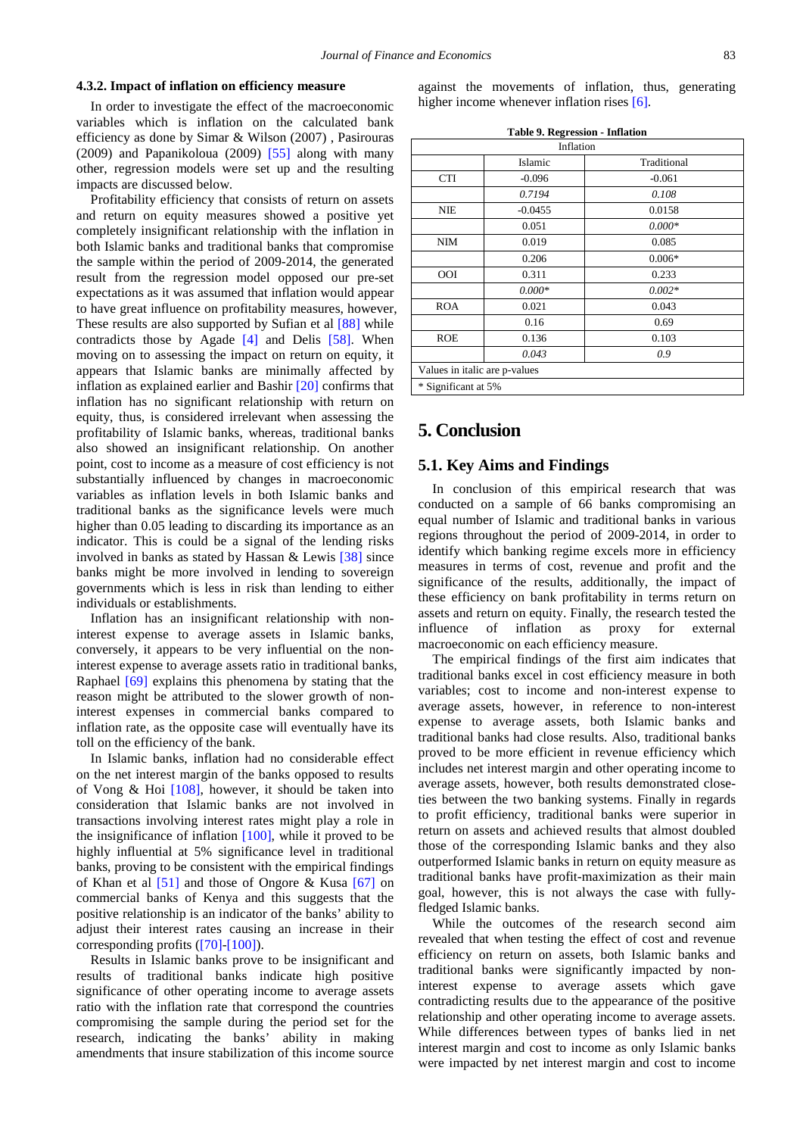#### **4.3.2. Impact of inflation on efficiency measure**

In order to investigate the effect of the macroeconomic variables which is inflation on the calculated bank efficiency as done by Simar & Wilson (2007) , Pasirouras (2009) and Papanikoloua (2009)  $[55]$  along with many other, regression models were set up and the resulting impacts are discussed below.

Profitability efficiency that consists of return on assets and return on equity measures showed a positive yet completely insignificant relationship with the inflation in both Islamic banks and traditional banks that compromise the sample within the period of 2009-2014, the generated result from the regression model opposed our pre-set expectations as it was assumed that inflation would appear to have great influence on profitability measures, however, These results are also supported by Sufian et al [\[88\]](#page-13-16) while contradicts those by Agade [\[4\]](#page-11-19) and Delis [\[58\].](#page-12-1) When moving on to assessing the impact on return on equity, it appears that Islamic banks are minimally affected by inflation as explained earlier and Bashir [\[20\]](#page-11-20) confirms that inflation has no significant relationship with return on equity, thus, is considered irrelevant when assessing the profitability of Islamic banks, whereas, traditional banks also showed an insignificant relationship. On another point, cost to income as a measure of cost efficiency is not substantially influenced by changes in macroeconomic variables as inflation levels in both Islamic banks and traditional banks as the significance levels were much higher than 0.05 leading to discarding its importance as an indicator. This is could be a signal of the lending risks involved in banks as stated by Hassan & Lewis [\[38\]](#page-12-29) since banks might be more involved in lending to sovereign governments which is less in risk than lending to either individuals or establishments.

Inflation has an insignificant relationship with noninterest expense to average assets in Islamic banks, conversely, it appears to be very influential on the noninterest expense to average assets ratio in traditional banks, Raphael [\[69\]](#page-12-26) explains this phenomena by stating that the reason might be attributed to the slower growth of noninterest expenses in commercial banks compared to inflation rate, as the opposite case will eventually have its toll on the efficiency of the bank.

In Islamic banks, inflation had no considerable effect on the net interest margin of the banks opposed to results of Vong & Hoi [108], however, it should be taken into consideration that Islamic banks are not involved in transactions involving interest rates might play a role in the insignificance of inflation [\[100\],](#page-13-17) while it proved to be highly influential at 5% significance level in traditional banks, proving to be consistent with the empirical findings of Khan et al [\[51\]](#page-12-33) and those of Ongore & Kusa [\[67\]](#page-12-31) on commercial banks of Kenya and this suggests that the positive relationship is an indicator of the banks' ability to adjust their interest rates causing an increase in their corresponding profits [\(\[70\]](#page-12-34)[-\[100\]\)](#page-13-17).

Results in Islamic banks prove to be insignificant and results of traditional banks indicate high positive significance of other operating income to average assets ratio with the inflation rate that correspond the countries compromising the sample during the period set for the research, indicating the banks' ability in making amendments that insure stabilization of this income source against the movements of inflation, thus, generating higher income whenever inflation rises [\[6\].](#page-11-17)

| Table 9. Regression - Inflation |  |
|---------------------------------|--|
|---------------------------------|--|

| $1400C$ , $Nc51$ cssion - innation<br>Inflation |           |             |
|-------------------------------------------------|-----------|-------------|
|                                                 | Islamic   | Traditional |
| <b>CTI</b>                                      | $-0.096$  | $-0.061$    |
|                                                 | 0.7194    | 0.108       |
| <b>NIE</b>                                      | $-0.0455$ | 0.0158      |
|                                                 | 0.051     | $0.000*$    |
| <b>NIM</b>                                      | 0.019     | 0.085       |
|                                                 | 0.206     | $0.006*$    |
| <b>OOI</b>                                      | 0.311     | 0.233       |
|                                                 | $0.000*$  | $0.002*$    |
| <b>ROA</b>                                      | 0.021     | 0.043       |
|                                                 | 0.16      | 0.69        |
| <b>ROE</b>                                      | 0.136     | 0.103       |
|                                                 | 0.043     | 0.9         |
| Values in italic are p-values                   |           |             |
| * Significant at 5%                             |           |             |

# **5. Conclusion**

## **5.1. Key Aims and Findings**

In conclusion of this empirical research that was conducted on a sample of 66 banks compromising an equal number of Islamic and traditional banks in various regions throughout the period of 2009-2014, in order to identify which banking regime excels more in efficiency measures in terms of cost, revenue and profit and the significance of the results, additionally, the impact of these efficiency on bank profitability in terms return on assets and return on equity. Finally, the research tested the influence of inflation as proxy for external macroeconomic on each efficiency measure.

The empirical findings of the first aim indicates that traditional banks excel in cost efficiency measure in both variables; cost to income and non-interest expense to average assets, however, in reference to non-interest expense to average assets, both Islamic banks and traditional banks had close results. Also, traditional banks proved to be more efficient in revenue efficiency which includes net interest margin and other operating income to average assets, however, both results demonstrated closeties between the two banking systems. Finally in regards to profit efficiency, traditional banks were superior in return on assets and achieved results that almost doubled those of the corresponding Islamic banks and they also outperformed Islamic banks in return on equity measure as traditional banks have profit-maximization as their main goal, however, this is not always the case with fullyfledged Islamic banks.

While the outcomes of the research second aim revealed that when testing the effect of cost and revenue efficiency on return on assets, both Islamic banks and traditional banks were significantly impacted by noninterest expense to average assets which gave contradicting results due to the appearance of the positive relationship and other operating income to average assets. While differences between types of banks lied in net interest margin and cost to income as only Islamic banks were impacted by net interest margin and cost to income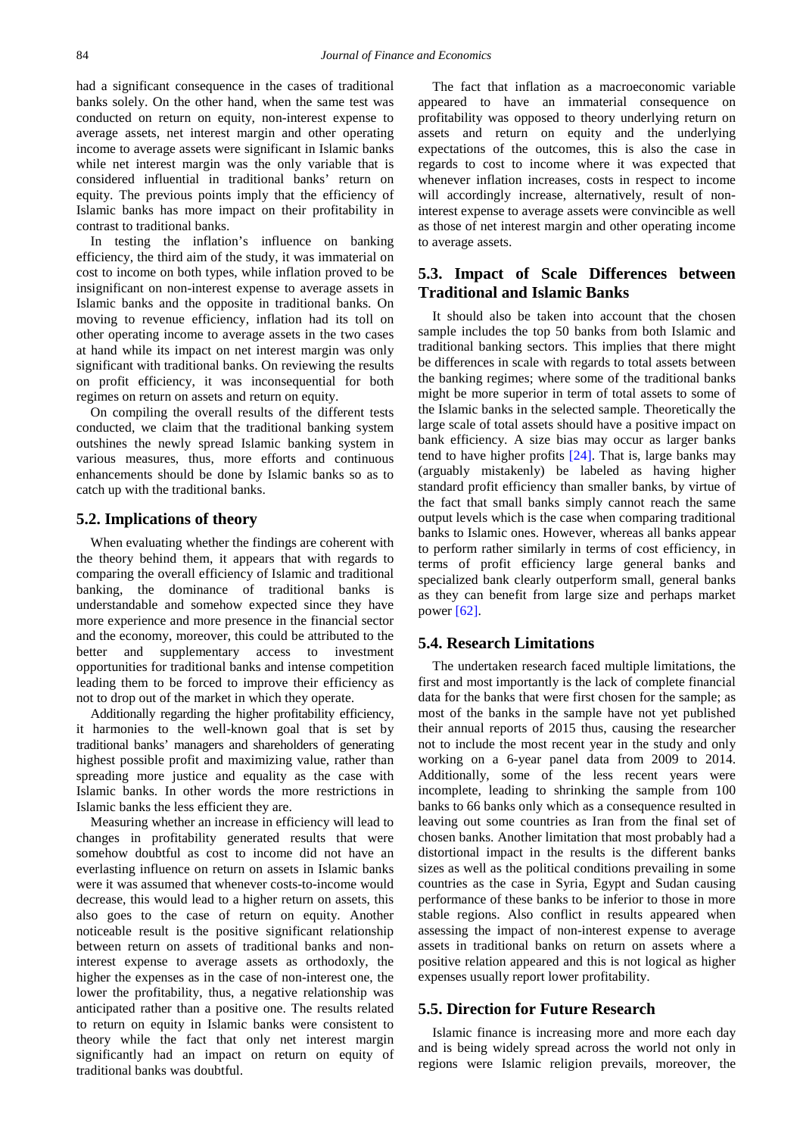had a significant consequence in the cases of traditional banks solely. On the other hand, when the same test was conducted on return on equity, non-interest expense to average assets, net interest margin and other operating income to average assets were significant in Islamic banks while net interest margin was the only variable that is considered influential in traditional banks' return on equity. The previous points imply that the efficiency of Islamic banks has more impact on their profitability in contrast to traditional banks.

In testing the inflation's influence on banking efficiency, the third aim of the study, it was immaterial on cost to income on both types, while inflation proved to be insignificant on non-interest expense to average assets in Islamic banks and the opposite in traditional banks. On moving to revenue efficiency, inflation had its toll on other operating income to average assets in the two cases at hand while its impact on net interest margin was only significant with traditional banks. On reviewing the results on profit efficiency, it was inconsequential for both regimes on return on assets and return on equity.

On compiling the overall results of the different tests conducted, we claim that the traditional banking system outshines the newly spread Islamic banking system in various measures, thus, more efforts and continuous enhancements should be done by Islamic banks so as to catch up with the traditional banks.

#### **5.2. Implications of theory**

When evaluating whether the findings are coherent with the theory behind them, it appears that with regards to comparing the overall efficiency of Islamic and traditional banking, the dominance of traditional banks is understandable and somehow expected since they have more experience and more presence in the financial sector and the economy, moreover, this could be attributed to the better and supplementary access to investment opportunities for traditional banks and intense competition leading them to be forced to improve their efficiency as not to drop out of the market in which they operate.

Additionally regarding the higher profitability efficiency, it harmonies to the well-known goal that is set by traditional banks' managers and shareholders of generating highest possible profit and maximizing value, rather than spreading more justice and equality as the case with Islamic banks. In other words the more restrictions in Islamic banks the less efficient they are.

Measuring whether an increase in efficiency will lead to changes in profitability generated results that were somehow doubtful as cost to income did not have an everlasting influence on return on assets in Islamic banks were it was assumed that whenever costs-to-income would decrease, this would lead to a higher return on assets, this also goes to the case of return on equity. Another noticeable result is the positive significant relationship between return on assets of traditional banks and noninterest expense to average assets as orthodoxly, the higher the expenses as in the case of non-interest one, the lower the profitability, thus, a negative relationship was anticipated rather than a positive one. The results related to return on equity in Islamic banks were consistent to theory while the fact that only net interest margin significantly had an impact on return on equity of traditional banks was doubtful.

The fact that inflation as a macroeconomic variable appeared to have an immaterial consequence on profitability was opposed to theory underlying return on assets and return on equity and the underlying expectations of the outcomes, this is also the case in regards to cost to income where it was expected that whenever inflation increases, costs in respect to income will accordingly increase, alternatively, result of noninterest expense to average assets were convincible as well as those of net interest margin and other operating income to average assets.

# **5.3. Impact of Scale Differences between Traditional and Islamic Banks**

It should also be taken into account that the chosen sample includes the top 50 banks from both Islamic and traditional banking sectors. This implies that there might be differences in scale with regards to total assets between the banking regimes; where some of the traditional banks might be more superior in term of total assets to some of the Islamic banks in the selected sample. Theoretically the large scale of total assets should have a positive impact on bank efficiency. A size bias may occur as larger banks tend to have higher profits [\[24\].](#page-11-21) That is, large banks may (arguably mistakenly) be labeled as having higher standard profit efficiency than smaller banks, by virtue of the fact that small banks simply cannot reach the same output levels which is the case when comparing traditional banks to Islamic ones. However, whereas all banks appear to perform rather similarly in terms of cost efficiency, in terms of profit efficiency large general banks and specialized bank clearly outperform small, general banks as they can benefit from large size and perhaps market powe[r \[62\].](#page-12-35)

## **5.4. Research Limitations**

The undertaken research faced multiple limitations, the first and most importantly is the lack of complete financial data for the banks that were first chosen for the sample; as most of the banks in the sample have not yet published their annual reports of 2015 thus, causing the researcher not to include the most recent year in the study and only working on a 6-year panel data from 2009 to 2014. Additionally, some of the less recent years were incomplete, leading to shrinking the sample from 100 banks to 66 banks only which as a consequence resulted in leaving out some countries as Iran from the final set of chosen banks. Another limitation that most probably had a distortional impact in the results is the different banks sizes as well as the political conditions prevailing in some countries as the case in Syria, Egypt and Sudan causing performance of these banks to be inferior to those in more stable regions. Also conflict in results appeared when assessing the impact of non-interest expense to average assets in traditional banks on return on assets where a positive relation appeared and this is not logical as higher expenses usually report lower profitability.

## **5.5. Direction for Future Research**

Islamic finance is increasing more and more each day and is being widely spread across the world not only in regions were Islamic religion prevails, moreover, the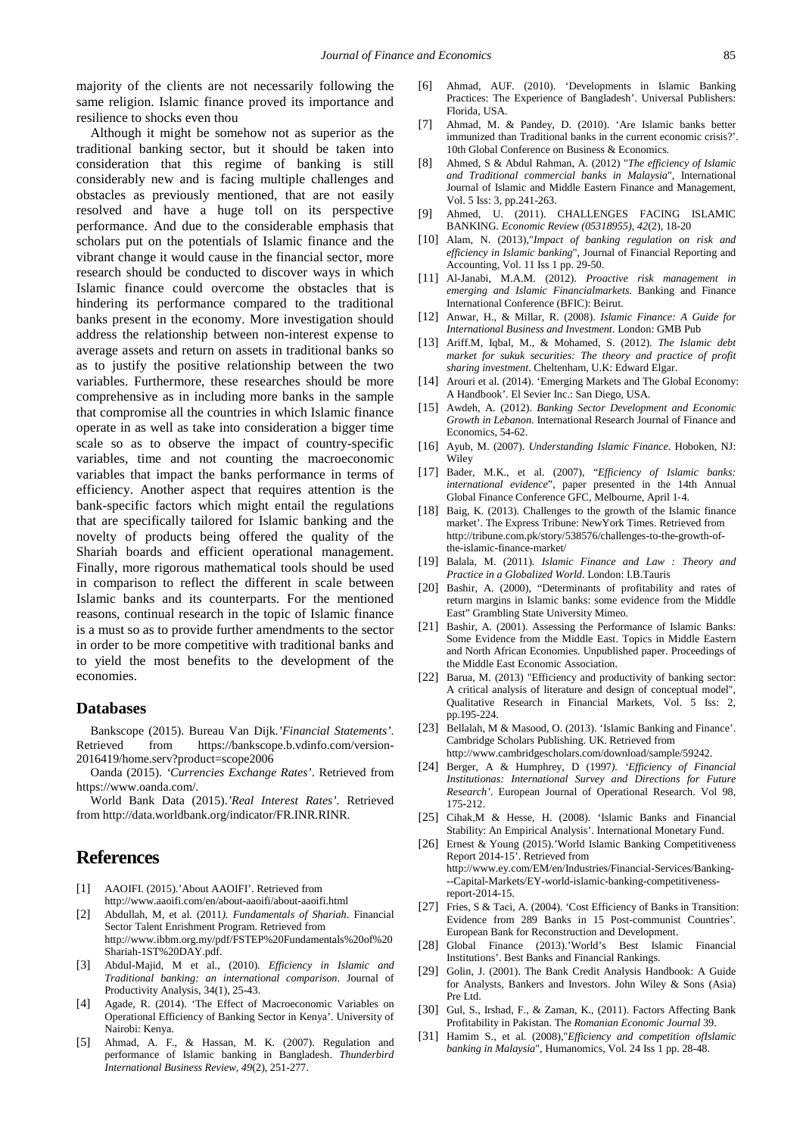majority of the clients are not necessarily following the same religion. Islamic finance proved its importance and resilience to shocks even thou

Although it might be somehow not as superior as the traditional banking sector, but it should be taken into consideration that this regime of banking is still considerably new and is facing multiple challenges and obstacles as previously mentioned, that are not easily resolved and have a huge toll on its perspective performance. And due to the considerable emphasis that scholars put on the potentials of Islamic finance and the vibrant change it would cause in the financial sector, more research should be conducted to discover ways in which Islamic finance could overcome the obstacles that is hindering its performance compared to the traditional banks present in the economy. More investigation should address the relationship between non-interest expense to average assets and return on assets in traditional banks so as to justify the positive relationship between the two variables. Furthermore, these researches should be more comprehensive as in including more banks in the sample that compromise all the countries in which Islamic finance operate in as well as take into consideration a bigger time scale so as to observe the impact of country-specific variables, time and not counting the macroeconomic variables that impact the banks performance in terms of efficiency. Another aspect that requires attention is the bank-specific factors which might entail the regulations that are specifically tailored for Islamic banking and the novelty of products being offered the quality of the Shariah boards and efficient operational management. Finally, more rigorous mathematical tools should be used in comparison to reflect the different in scale between Islamic banks and its counterparts. For the mentioned reasons, continual research in the topic of Islamic finance is a must so as to provide further amendments to the sector in order to be more competitive with traditional banks and to yield the most benefits to the development of the economies.

## **Databases**

Bankscope (2015). Bureau Van Dijk.*'Financial Statements'*. Retrieved from https://bankscope.b.vdinfo.com/version-2016419/home.serv?product=scope2006

Oanda (2015). *'Currencies Exchange Rates'*. Retrieved from https://www.oanda.com/.

World Bank Data (2015).*'Real Interest Rates'*. Retrieved from http://data.worldbank.org/indicator/FR.INR.RINR.

# **References**

- <span id="page-11-9"></span>[1] AAOIFI. (2015).'About AAOIFI'. Retrieved from http://www.aaoifi.com/en/about-aaoifi/about-aaoifi.html
- <span id="page-11-3"></span>[2] Abdullah, M, et al. (2011*). Fundamentals of Shariah*. Financial Sector Talent Enrishment Program. Retrieved from http://www.ibbm.org.my/pdf/FSTEP%20Fundamentals%20of%20 Shariah-1ST%20DAY.pdf.
- [3] Abdul-Majid, M et al., (2010). *Efficiency in Islamic and Traditional banking: an international comparison*. Journal of Productivity Analysis, 34(1), 25-43.
- <span id="page-11-19"></span>[4] Agade, R. (2014). 'The Effect of Macroeconomic Variables on Operational Efficiency of Banking Sector in Kenya'. University of Nairobi: Kenya.
- <span id="page-11-16"></span>[5] Ahmad, A. F., & Hassan, M. K. (2007). Regulation and performance of Islamic banking in Bangladesh. *Thunderbird International Business Review*, *49*(2), 251-277.
- <span id="page-11-17"></span>[6] Ahmad, AUF. (2010). 'Developments in Islamic Banking Practices: The Experience of Bangladesh'. Universal Publishers: Florida, USA.
- [7] Ahmad, M. & Pandey, D. (2010). 'Are Islamic banks better immunized than Traditional banks in the current economic crisis?'. 10th Global Conference on Business & Economics.
- [8] Ahmed, S & Abdul Rahman, A. (2012) "*The efficiency of Islamic and Traditional commercial banks in Malaysia*", International Journal of Islamic and Middle Eastern Finance and Management, Vol. 5 Iss: 3, pp.241-263.
- <span id="page-11-11"></span>[9] Ahmed, U. (2011). CHALLENGES FACING ISLAMIC BANKING. *Economic Review (05318955)*, *42*(2), 18-20
- [10] Alam, N. (2013),"*Impact of banking regulation on risk and efficiency in Islamic banking*", Journal of Financial Reporting and Accounting, Vol. 11 Iss 1 pp. 29-50.
- <span id="page-11-5"></span>[11] Al-Janabi, M.A.M. (2012). *Proactive risk management in emerging and Islamic Financialmarkets*. Banking and Finance International Conference (BFIC): Beirut.
- <span id="page-11-7"></span>[12] Anwar, H., & Millar, R. (2008). *Islamic Finance: A Guide for International Business and Investment*. London: GMB Pub
- <span id="page-11-4"></span>[13] Ariff.M, Iqbal, M., & Mohamed, S. (2012). *The Islamic debt market for sukuk securities: The theory and practice of profit sharing investment*. Cheltenham, U.K: Edward Elgar.
- [14] Arouri et al. (2014). 'Emerging Markets and The Global Economy: A Handbook'. El Sevier Inc.: San Diego, USA.
- <span id="page-11-0"></span>[15] Awdeh, A. (2012). *Banking Sector Development and Economic Growth in Lebanon*. International Research Journal of Finance and Economics, 54-62.
- <span id="page-11-6"></span>[16] Ayub, M. (2007). *Understanding Islamic Finance*. Hoboken, NJ: **Wiley**
- [17] Bader, M.K., et al. (2007), "*Efficiency of Islamic banks: international evidence*", paper presented in the 14th Annual Global Finance Conference GFC, Melbourne, April 1‐4.
- <span id="page-11-10"></span>[18] Baig, K. (2013). Challenges to the growth of the Islamic finance market'. The Express Tribune: NewYork Times. Retrieved from http://tribune.com.pk/story/538576/challenges-to-the-growth-ofthe-islamic-finance-market/
- <span id="page-11-8"></span>[19] Balala, M. (2011). *Islamic Finance and Law : Theory and Practice in a Globalized World*. London: I.B.Tauris
- <span id="page-11-20"></span>[20] Bashir, A. (2000), "Determinants of profitability and rates of return margins in Islamic banks: some evidence from the Middle East" Grambling State University Mimeo.
- <span id="page-11-12"></span>[21] Bashir, A. (2001). Assessing the Performance of Islamic Banks: Some Evidence from the Middle East. Topics in Middle Eastern and North African Economies. Unpublished paper. Proceedings of the Middle East Economic Association.
- <span id="page-11-18"></span>[22] Barua, M. (2013) "Efficiency and productivity of banking sector: A critical analysis of literature and design of conceptual model", Qualitative Research in Financial Markets, Vol. 5 Iss: 2, pp.195-224.
- <span id="page-11-2"></span>[23] Bellalah, M & Masood, O. (2013). 'Islamic Banking and Finance'. Cambridge Scholars Publishing. UK. Retrieved from http://www.cambridgescholars.com/download/sample/59242.
- <span id="page-11-21"></span>[24] Berger, A & Humphrey, D (1997*). 'Efficiency of Financial Institutionas: International Survey and Directions for Future Research'*. European Journal of Operational Research. Vol 98, 175-212.
- [25] Cihak,M & Hesse, H. (2008). 'Islamic Banks and Financial Stability: An Empirical Analysis'. International Monetary Fund.
- <span id="page-11-1"></span>[26] Ernest & Young (2015).'World Islamic Banking Competitiveness Report 2014-15'. Retrieved from http://www.ey.com/EM/en/Industries/Financial-Services/Banking- --Capital-Markets/EY-world-islamic-banking-competitivenessreport-2014-15.
- <span id="page-11-14"></span>[27] Fries, S & Taci, A. (2004). 'Cost Efficiency of Banks in Transition: Evidence from 289 Banks in 15 Post-communist Countries'. European Bank for Reconstruction and Development.
- [28] Global Finance (2013).'World's Best Islamic Financial Institutions'. Best Banks and Financial Rankings.
- <span id="page-11-15"></span>[29] Golin, J. (2001). The Bank Credit Analysis Handbook: A Guide for Analysts, Bankers and Investors. John Wiley & Sons (Asia) Pre Ltd.
- <span id="page-11-13"></span>[30] Gul, S., Irshad, F., & Zaman, K., (2011). Factors Affecting Bank Profitability in Pakistan. The *Romanian Economic Journal* 39.
- [31] Hamim S., et al. (2008),"*Efficiency and competition ofIslamic banking in Malaysia*", Humanomics, Vol. 24 Iss 1 pp. 28-48.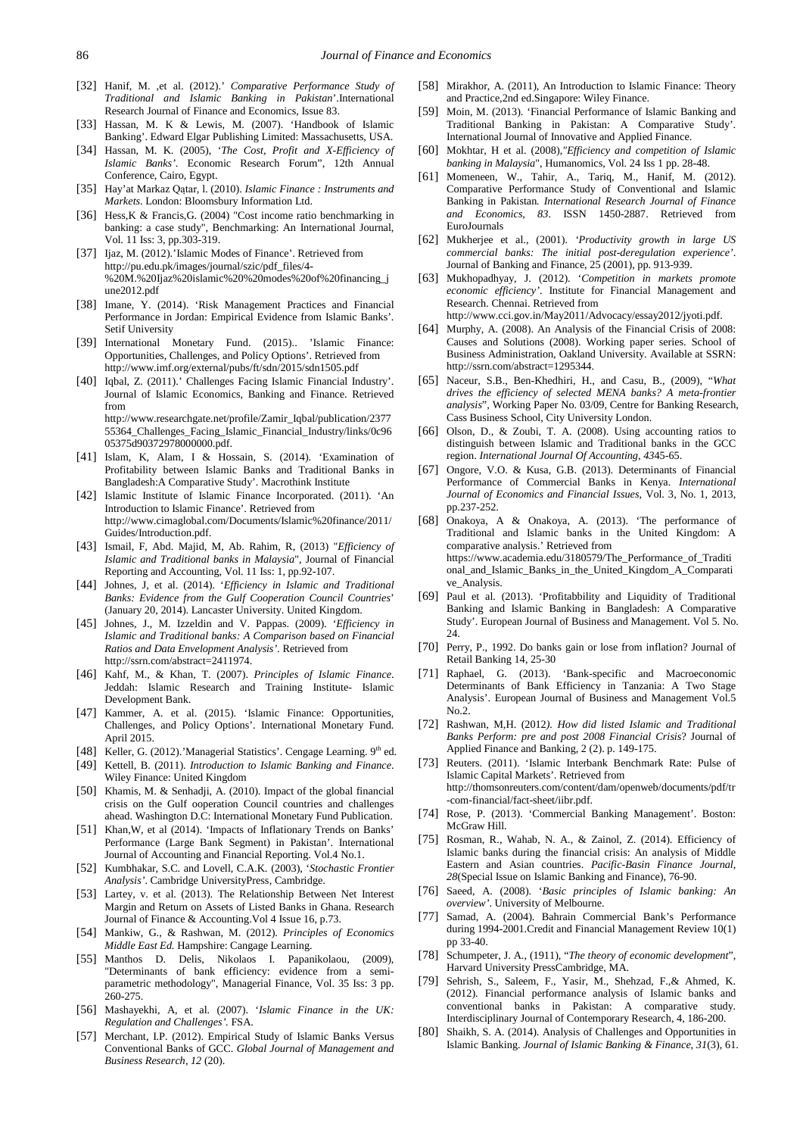- <span id="page-12-3"></span>[32] Hanif, M. ,et al. (2012).' *Comparative Performance Study of Traditional and Islamic Banking in Pakistan*'.International Research Journal of Finance and Economics, Issue 83.
- [33] Hassan, M. K & Lewis, M. (2007). 'Handbook of Islamic Banking'. Edward Elgar Publishing Limited: Massachusetts, USA.
- [34] Hassan, M. K. (2005), '*The Cost, Profit and X-Efficiency of Islamic Banks'*. Economic Research Forum", 12th Annual Conference, Cairo, Egypt.
- <span id="page-12-11"></span>[35] Hay'at Markaz Qaṭar, l. (2010). *Islamic Finance : Instruments and Markets*. London: Bloomsbury Information Ltd.
- <span id="page-12-28"></span>[36] Hess,K & Francis,G. (2004) "Cost income ratio benchmarking in banking: a case study", Benchmarking: An International Journal, Vol. 11 Iss: 3, pp.303-319.
- <span id="page-12-10"></span>[37] Ijaz, M. (2012).'Islamic Modes of Finance'. Retrieved from http://pu.edu.pk/images/journal/szic/pdf\_files/4- %20M.%20Ijaz%20islamic%20%20modes%20of%20financing\_j une2012.pdf
- <span id="page-12-29"></span>[38] Imane, Y. (2014). 'Risk Management Practices and Financial Performance in Jordan: Empirical Evidence from Islamic Banks'. Setif University
- <span id="page-12-12"></span>[39] International Monetary Fund. (2015).. 'Islamic Finance: Opportunities, Challenges, and Policy Options'. Retrieved from http://www.imf.org/external/pubs/ft/sdn/2015/sdn1505.pdf
- <span id="page-12-15"></span>[40] Iqbal, Z. (2011).' Challenges Facing Islamic Financial Industry'. Journal of Islamic Economics, Banking and Finance. Retrieved from http://www.researchgate.net/profile/Zamir\_Iqbal/publication/2377 55364\_Challenges\_Facing\_Islamic\_Financial\_Industry/links/0c96
- <span id="page-12-24"></span>05375d90372978000000.pdf. [41] Islam, K, Alam, I & Hossain, S. (2014). 'Examination of Profitability between Islamic Banks and Traditional Banks in Bangladesh:A Comparative Study'. Macrothink Institute
- <span id="page-12-6"></span>[42] Islamic Institute of Islamic Finance Incorporated. (2011). 'An Introduction to Islamic Finance'. Retrieved from http://www.cimaglobal.com/Documents/Islamic%20finance/2011/ Guides/Introduction.pdf.
- <span id="page-12-27"></span>[43] Ismail, F, Abd. Majid, M, Ab. Rahim, R, (2013) "*Efficiency of Islamic and Traditional banks in Malaysia*", Journal of Financial Reporting and Accounting, Vol. 11 Iss: 1, pp.92-107.
- <span id="page-12-4"></span>[44] Johnes, J, et al. (2014). '*Efficiency in Islamic and Traditional Banks: Evidence from the Gulf Cooperation Council Countries*' (January 20, 2014). Lancaster University. United Kingdom.
- [45] Johnes, J., M. Izzeldin and V. Pappas. (2009). '*Efficiency in Islamic and Traditional banks: A Comparison based on Financial Ratios and Data Envelopment Analysis'*. Retrieved from http://ssrn.com/abstract=2411974.
- [46] Kahf, M., & Khan, T. (2007). *Principles of Islamic Finance*. Jeddah: Islamic Research and Training Institute- Islamic Development Bank.
- <span id="page-12-19"></span>[47] Kammer, A. et al. (2015). 'Islamic Finance: Opportunities, Challenges, and Policy Options'. International Monetary Fund. April 2015.
- [48] Keller, G. (2012).'Managerial Statistics'. Cengage Learning. 9th ed.
- <span id="page-12-8"></span>[49] Kettell, B. (2011). *Introduction to Islamic Banking and Finance*. Wiley Finance: United Kingdom
- <span id="page-12-13"></span>[50] Khamis, M. & Senhadji, A. (2010). Impact of the global financial crisis on the Gulf ooperation Council countries and challenges ahead. Washington D.C: International Monetary Fund Publication.
- <span id="page-12-33"></span>[51] Khan, W, et al (2014). 'Impacts of Inflationary Trends on Banks' Performance (Large Bank Segment) in Pakistan'. International Journal of Accounting and Financial Reporting. Vol.4 No.1.
- <span id="page-12-7"></span>[52] Kumbhakar, S.C. and Lovell, C.A.K. (2003), '*Stochastic Frontier Analysis'*. Cambridge UniversityPress, Cambridge.
- <span id="page-12-30"></span>[53] Lartey, v. et al. (2013). The Relationship Between Net Interest Margin and Return on Assets of Listed Banks in Ghana. Research Journal of Finance & Accounting.Vol 4 Issue 16, p.73.
- <span id="page-12-9"></span>[54] Mankiw, G., & Rashwan, M. (2012). *Principles of Economics Middle East Ed.* Hampshire: Cangage Learning.
- <span id="page-12-32"></span>[55] Manthos D. Delis, Nikolaos I. Papanikolaou, (2009), "Determinants of bank efficiency: evidence from a semiparametric methodology", Managerial Finance, Vol. 35 Iss: 3 pp. 260-275.
- [56] Mashayekhi, A, et al. (2007). '*Islamic Finance in the UK: Regulation and Challenges'.* FSA.
- <span id="page-12-21"></span>[57] Merchant, I.P. (2012). Empirical Study of Islamic Banks Versus Conventional Banks of GCC. *Global Journal of Management and Business Research, 12* (20).
- <span id="page-12-1"></span>[58] Mirakhor, A. (2011), An Introduction to Islamic Finance: Theory and Practice,2nd ed.Singapore: Wiley Finance.
- <span id="page-12-25"></span>[59] Moin, M. (2013). 'Financial Performance of Islamic Banking and Traditional Banking in Pakistan: A Comparative Study'. International Journal of Innovative and Applied Finance.
- [60] Mokhtar, H et al. (2008),*"Efficiency and competition of Islamic banking in Malaysia*", Humanomics, Vol. 24 Iss 1 pp. 28-48.
- <span id="page-12-22"></span>[61] Momeneen, W., Tahir, A., Tariq, M., Hanif, M. (2012). Comparative Performance Study of Conventional and Islamic Banking in Pakistan*. International Research Journal of Finance and Economics, 83*. ISSN 1450-2887. Retrieved from EuroJournals
- <span id="page-12-35"></span>[62] Mukherjee et al., (2001). *'Productivity growth in large US commercial banks: The initial post-deregulation experience'*. Journal of Banking and Finance,  $25(2001)$ , pp. 913-939.
- [63] Mukhopadhyay, J. (2012). '*Competition in markets promote economic efficiency'*. Institute for Financial Management and Research. Chennai. Retrieved from
	- http://www.cci.gov.in/May2011/Advocacy/essay2012/jyoti.pdf.
- [64] Murphy, A. (2008). An Analysis of the Financial Crisis of 2008: Causes and Solutions (2008). Working paper series. School of Business Administration, Oakland University. Available at SSRN: http://ssrn.com/abstract=1295344.
- [65] Naceur, S.B., Ben-Khedhiri, H., and Casu, B., (2009), "*What drives the efficiency of selected MENA banks? A meta-frontier analysis*", Working Paper No. 03/09, Centre for Banking Research, Cass Business School, City University London.
- <span id="page-12-20"></span>[66] Olson, D., & Zoubi, T. A. (2008). Using accounting ratios to distinguish between Islamic and Traditional banks in the GCC region. *International Journal Of Accounting*, *43*45-65.
- <span id="page-12-31"></span>[67] Ongore, V.O. & Kusa, G.B. (2013). Determinants of Financial Performance of Commercial Banks in Kenya. *International Journal of Economics and Financial Issues*, Vol. 3, No. 1, 2013, pp.237-252.
- <span id="page-12-23"></span>[68] Onakoya, A & Onakoya, A. (2013). 'The performance of Traditional and Islamic banks in the United Kingdom: A comparative analysis.' Retrieved from https://www.academia.edu/3180579/The\_Performance\_of\_Traditi onal\_and\_Islamic\_Banks\_in\_the\_United\_Kingdom\_A\_Comparati ve\_Analysis.
- <span id="page-12-26"></span>[69] Paul et al. (2013). 'Profitabbility and Liquidity of Traditional Banking and Islamic Banking in Bangladesh: A Comparative Study'. European Journal of Business and Management. Vol 5. No. 24.
- <span id="page-12-34"></span>[70] Perry, P., 1992. Do banks gain or lose from inflation? Journal of Retail Banking 14, 25-30
- [71] Raphael, G. (2013). 'Bank-specific and Macroeconomic Determinants of Bank Efficiency in Tanzania: A Two Stage Analysis'. European Journal of Business and Management Vol.5 No.2.
- <span id="page-12-2"></span>[72] Rashwan, M,H. (2012*). How did listed Islamic and Traditional Banks Perform: pre and post 2008 Financial Crisis*? Journal of Applied Finance and Banking, 2 (2). p. 149-175.
- <span id="page-12-14"></span>[73] Reuters. (2011). 'Islamic Interbank Benchmark Rate: Pulse of Islamic Capital Markets'. Retrieved from http://thomsonreuters.com/content/dam/openweb/documents/pdf/tr -com-financial/fact-sheet/iibr.pdf.
- <span id="page-12-5"></span>[74] Rose, P. (2013). 'Commercial Banking Management'. Boston: McGraw Hill.
- <span id="page-12-0"></span>[75] Rosman, R., Wahab, N. A., & Zainol, Z. (2014). Efficiency of Islamic banks during the financial crisis: An analysis of Middle Eastern and Asian countries. *Pacific-Basin Finance Journal*, *28*(Special Issue on Islamic Banking and Finance), 76-90.
- [76] Saeed, A. (2008). '*Basic principles of Islamic banking: An overview'*. University of Melbourne.
- <span id="page-12-17"></span>[77] Samad, A. (2004). Bahrain Commercial Bank's Performance during 1994-2001.Credit and Financial Management Review 10(1) pp 33-40.
- [78] Schumpeter, J. A., (1911), "*The theory of economic development*", Harvard University PressCambridge, MA.
- <span id="page-12-18"></span>[79] Sehrish, S., Saleem, F., Yasir, M., Shehzad, F.,& Ahmed, K. (2012). Financial performance analysis of Islamic banks and conventional banks in Pakistan: A comparative study. Interdisciplinary Journal of Contemporary Research, 4, 186-200.
- <span id="page-12-16"></span>[80] Shaikh, S. A. (2014). Analysis of Challenges and Opportunities in Islamic Banking. *Journal of Islamic Banking & Finance*, *31*(3), 61.